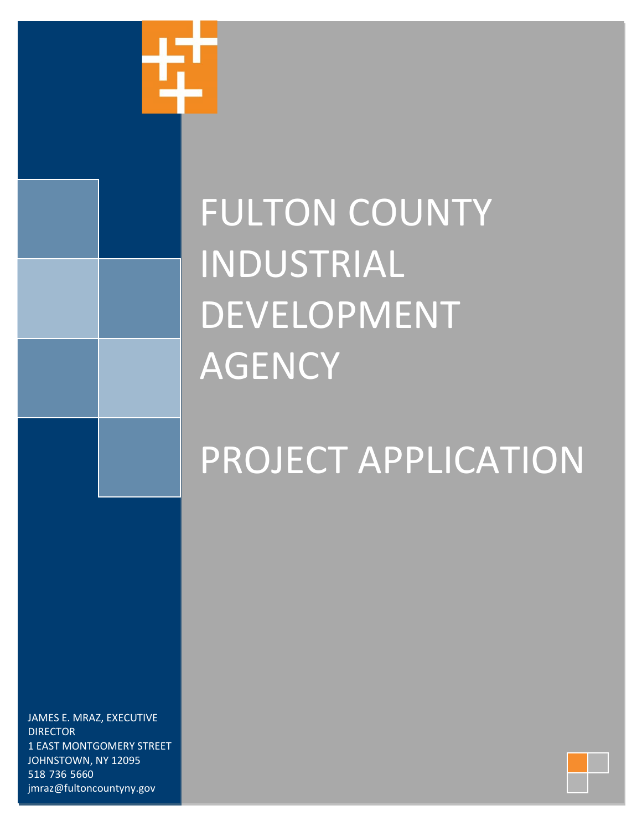

# PROJECT APPLICATION

JAMES E. MRAZ, EXECUTIVE **DIRECTOR** 1 EAST MONTGOMERY STREET JOHNSTOWN, NY 12095 518-736-5660 jmraz@fultoncountyny.gov

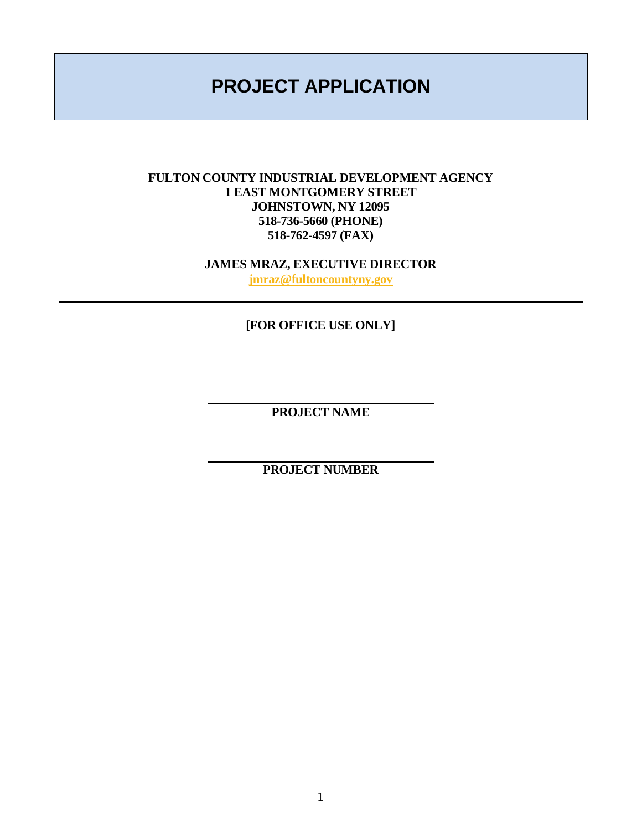## **PROJECT APPLICATION**

#### **FULTON COUNTY INDUSTRIAL DEVELOPMENT AGENCY 1 EAST MONTGOMERY STREET JOHNSTOWN, NY 12095 518-736-5660 (PHONE) 518-762-4597 (FAX)**

**JAMES MRAZ, EXECUTIVE DIRECTOR [jmraz@fultoncountyny.gov](mailto:jmraz@fultoncountyny.gov)**

**[FOR OFFICE USE ONLY]**

**PROJECT NAME**

**PROJECT NUMBER**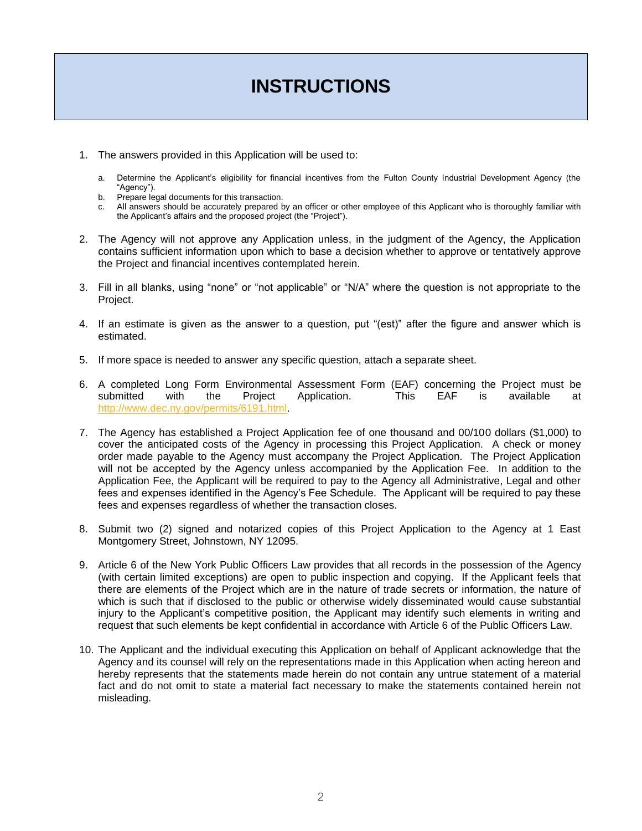## **INSTRUCTIONS**

- 1. The answers provided in this Application will be used to:
	- a. Determine the Applicant's eligibility for financial incentives from the Fulton County Industrial Development Agency (the "Agency").
	- b. Prepare legal documents for this transaction.
	- c. All answers should be accurately prepared by an officer or other employee of this Applicant who is thoroughly familiar with the Applicant's affairs and the proposed project (the "Project").
- 2. The Agency will not approve any Application unless, in the judgment of the Agency, the Application contains sufficient information upon which to base a decision whether to approve or tentatively approve the Project and financial incentives contemplated herein.
- 3. Fill in all blanks, using "none" or "not applicable" or "N/A" where the question is not appropriate to the Project.
- 4. If an estimate is given as the answer to a question, put "(est)" after the figure and answer which is estimated.
- 5. If more space is needed to answer any specific question, attach a separate sheet.
- 6. A completed Long Form Environmental Assessment Form (EAF) concerning the Project must be submitted with the Project Application. This EAF is available at [http://www.dec.ny.gov/permits/6191.html.](http://www.dec.ny.gov/permits/6191.html)
- 7. The Agency has established a Project Application fee of one thousand and 00/100 dollars (\$1,000) to cover the anticipated costs of the Agency in processing this Project Application. A check or money order made payable to the Agency must accompany the Project Application. The Project Application will not be accepted by the Agency unless accompanied by the Application Fee. In addition to the Application Fee, the Applicant will be required to pay to the Agency all Administrative, Legal and other fees and expenses identified in the Agency's Fee Schedule. The Applicant will be required to pay these fees and expenses regardless of whether the transaction closes.
- 8. Submit two (2) signed and notarized copies of this Project Application to the Agency at 1 East Montgomery Street, Johnstown, NY 12095.
- 9. Article 6 of the New York Public Officers Law provides that all records in the possession of the Agency (with certain limited exceptions) are open to public inspection and copying. If the Applicant feels that there are elements of the Project which are in the nature of trade secrets or information, the nature of which is such that if disclosed to the public or otherwise widely disseminated would cause substantial injury to the Applicant's competitive position, the Applicant may identify such elements in writing and request that such elements be kept confidential in accordance with Article 6 of the Public Officers Law.
- 10. The Applicant and the individual executing this Application on behalf of Applicant acknowledge that the Agency and its counsel will rely on the representations made in this Application when acting hereon and hereby represents that the statements made herein do not contain any untrue statement of a material fact and do not omit to state a material fact necessary to make the statements contained herein not misleading.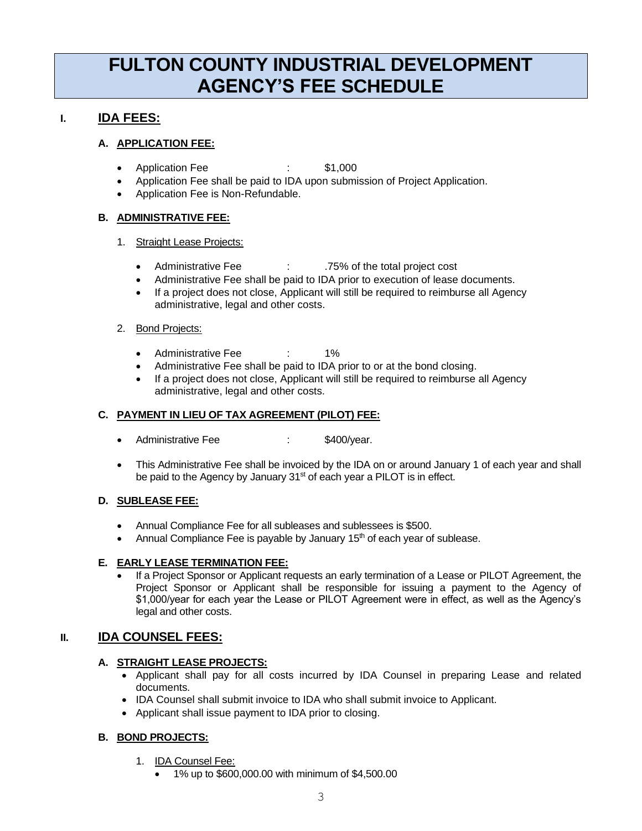## **FULTON COUNTY INDUSTRIAL DEVELOPMENT AGENCY'S FEE SCHEDULE**

#### **I. IDA FEES:**

#### **A. APPLICATION FEE:**

- Application Fee : \$1,000
- Application Fee shall be paid to IDA upon submission of Project Application.
- Application Fee is Non-Refundable.

#### **B. ADMINISTRATIVE FEE:**

#### 1. Straight Lease Projects:

- Administrative Fee : .75% of the total project cost
- Administrative Fee shall be paid to IDA prior to execution of lease documents.
- If a project does not close, Applicant will still be required to reimburse all Agency administrative, legal and other costs.

#### 2. Bond Projects:

- Administrative Fee : 1%
- Administrative Fee shall be paid to IDA prior to or at the bond closing.
- If a project does not close, Applicant will still be required to reimburse all Agency administrative, legal and other costs.

#### **C. PAYMENT IN LIEU OF TAX AGREEMENT (PILOT) FEE:**

- Administrative Fee : \$400/year.
- This Administrative Fee shall be invoiced by the IDA on or around January 1 of each year and shall be paid to the Agency by January 31<sup>st</sup> of each year a PILOT is in effect.

#### **D. SUBLEASE FEE:**

- Annual Compliance Fee for all subleases and sublessees is \$500.
- Annual Compliance Fee is payable by January  $15<sup>th</sup>$  of each year of sublease.

#### **E. EARLY LEASE TERMINATION FEE:**

• If a Project Sponsor or Applicant requests an early termination of a Lease or PILOT Agreement, the Project Sponsor or Applicant shall be responsible for issuing a payment to the Agency of \$1,000/year for each year the Lease or PILOT Agreement were in effect, as well as the Agency's legal and other costs.

#### **II. IDA COUNSEL FEES:**

#### **A. STRAIGHT LEASE PROJECTS:**

- Applicant shall pay for all costs incurred by IDA Counsel in preparing Lease and related documents.
- IDA Counsel shall submit invoice to IDA who shall submit invoice to Applicant.
- Applicant shall issue payment to IDA prior to closing.

#### **B. BOND PROJECTS:**

- 1. IDA Counsel Fee:
	- 1% up to \$600,000.00 with minimum of \$4,500.00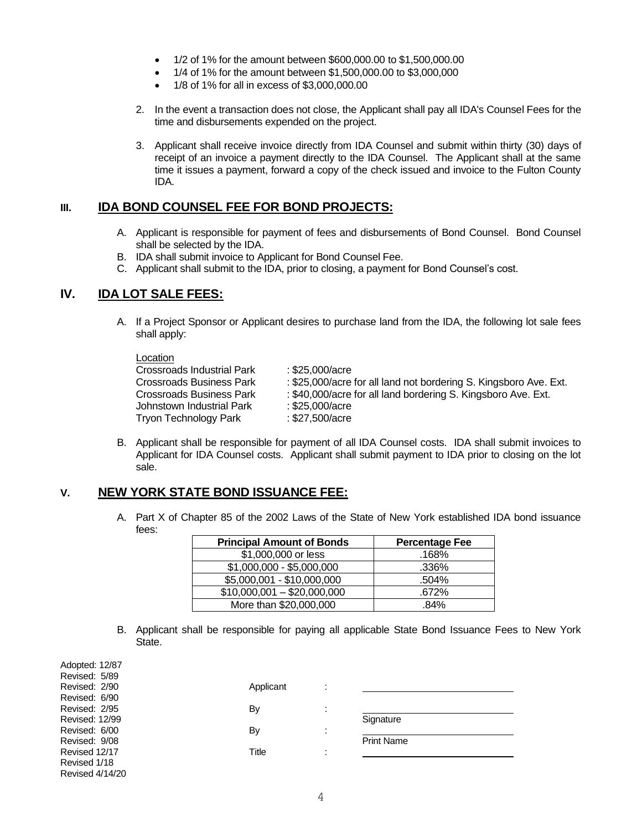- 1/2 of 1% for the amount between \$600,000.00 to \$1,500,000.00
- 1/4 of 1% for the amount between \$1,500,000.00 to \$3,000,000
- 1/8 of 1% for all in excess of \$3,000,000.00
- 2. In the event a transaction does not close, the Applicant shall pay all IDA's Counsel Fees for the time and disbursements expended on the project.
- 3. Applicant shall receive invoice directly from IDA Counsel and submit within thirty (30) days of receipt of an invoice a payment directly to the IDA Counsel. The Applicant shall at the same time it issues a payment, forward a copy of the check issued and invoice to the Fulton County IDA.

#### **III. IDA BOND COUNSEL FEE FOR BOND PROJECTS:**

- A. Applicant is responsible for payment of fees and disbursements of Bond Counsel. Bond Counsel shall be selected by the IDA.
- B. IDA shall submit invoice to Applicant for Bond Counsel Fee.
- C. Applicant shall submit to the IDA, prior to closing, a payment for Bond Counsel's cost.

#### **IV. IDA LOT SALE FEES:**

A. If a Project Sponsor or Applicant desires to purchase land from the IDA, the following lot sale fees shall apply:

#### Location

| -------                      |                                                                   |
|------------------------------|-------------------------------------------------------------------|
| Crossroads Industrial Park   | : \$25,000/acre                                                   |
| Crossroads Business Park     | : \$25,000/acre for all land not bordering S. Kingsboro Ave. Ext. |
| Crossroads Business Park     | : \$40,000/acre for all land bordering S. Kingsboro Ave. Ext.     |
| Johnstown Industrial Park    | : \$25,000/acre                                                   |
| <b>Tryon Technology Park</b> | : \$27,500/acre                                                   |
|                              |                                                                   |

B. Applicant shall be responsible for payment of all IDA Counsel costs. IDA shall submit invoices to Applicant for IDA Counsel costs. Applicant shall submit payment to IDA prior to closing on the lot sale.

#### **V. NEW YORK STATE BOND ISSUANCE FEE:**

A. Part X of Chapter 85 of the 2002 Laws of the State of New York established IDA bond issuance fees:

| <b>Principal Amount of Bonds</b> | <b>Percentage Fee</b> |
|----------------------------------|-----------------------|
| \$1,000,000 or less              | .168%                 |
| \$1,000,000 - \$5,000,000        | .336%                 |
| \$5,000,001 - \$10,000,000       | .504%                 |
| $$10,000,001 - $20,000,000$      | .672%                 |
| More than \$20,000,000           | .84%                  |

B. Applicant shall be responsible for paying all applicable State Bond Issuance Fees to New York State.

| Adopted: 12/87        |           |                      |                   |  |
|-----------------------|-----------|----------------------|-------------------|--|
| Revised: 5/89         |           |                      |                   |  |
| Revised: 2/90         | Applicant |                      |                   |  |
| Revised: 6/90         |           |                      |                   |  |
| Revised: 2/95         | By        | $\cdot$<br>$\cdot$   |                   |  |
| <b>Revised: 12/99</b> |           |                      | Signature         |  |
| Revised: 6/00         | By        | $\cdot$<br>$\cdot$   |                   |  |
| Revised: 9/08         |           |                      | <b>Print Name</b> |  |
| Revised 12/17         | Title     | $\bullet$<br>$\cdot$ |                   |  |
| Revised 1/18          |           |                      |                   |  |
| Revised $4/14/20$     |           |                      |                   |  |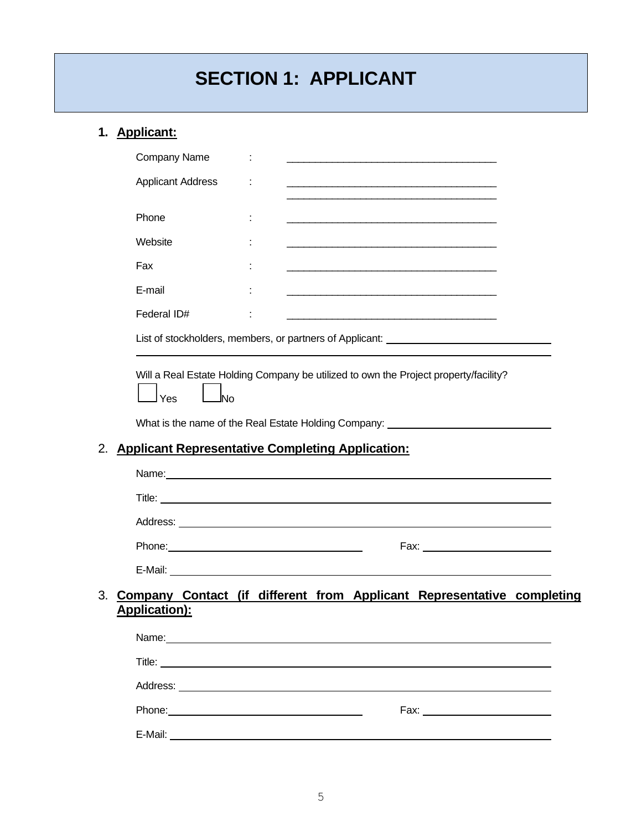## **SECTION 1: APPLICANT**

## **1. Applicant:**

| <b>Applicant Address</b><br><u> 1989 - Johann Harry Harry Harry Harry Harry Harry Harry Harry Harry Harry Harry Harry Harry Harry Harry Harry</u><br>Phone<br>Website<br>Fax<br>E-mail<br><u> 1989 - Johann Barbara, martxa alemaniar argametar a contra a contra a contra a contra a contra a contra a co</u><br>Federal ID#<br><u> 1989 - Johann Barbert Barbara, martin da basar da basar da basar da basar da basar da basar da basar</u><br>List of stockholders, members, or partners of Applicant: _______________________<br>Will a Real Estate Holding Company be utilized to own the Project property/facility?<br>Yes<br>lNo<br>What is the name of the Real Estate Holding Company:<br><b>Applicant Representative Completing Application:</b><br>2.<br>Name: Name: Name: Name: Name: Name: Name: Name: Name: Name: Name: Name: Name: Name: Name: Name: Name: Name: Name: Name: Name: Name: Name: Name: Name: Name: Name: Name: Name: Name: Name: Name: Name: Name: Name: Name: Name:<br>Title: <u>the contract of the contract of the contract of the contract of the contract of the contract of the contract of the contract of the contract of the contract of the contract of the contract of the contract of the co</u><br>Phone: 2008 2010 2010 2010 2010 2011 2012 2013 2014 2015 2016 2017 2018 2019 2019 2010 2011 2012 2014 2015 201<br>Fax: ___________________________<br>Company Contact (if different from Applicant Representative completing<br>3.<br><b>Application):</b><br>Name: Name: Name: Name: Name: Name: Name: Name: Name: Name: Name: Name: Name: Name: Name: Name: Name: Name: Name: Name: Name: Name: Name: Name: Name: Name: Name: Name: Name: Name: Name: Name: Name: Name: Name: Name: Name:<br>Phone: Note: Note: Note: Note: Note: Note: Note: Note: Note: Note: Note: Note: Note: Note: Note: Note: Note: Note: Note: Note: Note: Note: Note: Note: Note: Note: Note: Note: Note: Note: Note: Note: Note: Note: Note: Note: |  |
|----------------------------------------------------------------------------------------------------------------------------------------------------------------------------------------------------------------------------------------------------------------------------------------------------------------------------------------------------------------------------------------------------------------------------------------------------------------------------------------------------------------------------------------------------------------------------------------------------------------------------------------------------------------------------------------------------------------------------------------------------------------------------------------------------------------------------------------------------------------------------------------------------------------------------------------------------------------------------------------------------------------------------------------------------------------------------------------------------------------------------------------------------------------------------------------------------------------------------------------------------------------------------------------------------------------------------------------------------------------------------------------------------------------------------------------------------------------------------------------------------------------------------------------------------------------------------------------------------------------------------------------------------------------------------------------------------------------------------------------------------------------------------------------------------------------------------------------------------------------------------------------------------------------------------------------------------------------------------|--|
|                                                                                                                                                                                                                                                                                                                                                                                                                                                                                                                                                                                                                                                                                                                                                                                                                                                                                                                                                                                                                                                                                                                                                                                                                                                                                                                                                                                                                                                                                                                                                                                                                                                                                                                                                                                                                                                                                                                                                                            |  |
|                                                                                                                                                                                                                                                                                                                                                                                                                                                                                                                                                                                                                                                                                                                                                                                                                                                                                                                                                                                                                                                                                                                                                                                                                                                                                                                                                                                                                                                                                                                                                                                                                                                                                                                                                                                                                                                                                                                                                                            |  |
|                                                                                                                                                                                                                                                                                                                                                                                                                                                                                                                                                                                                                                                                                                                                                                                                                                                                                                                                                                                                                                                                                                                                                                                                                                                                                                                                                                                                                                                                                                                                                                                                                                                                                                                                                                                                                                                                                                                                                                            |  |
|                                                                                                                                                                                                                                                                                                                                                                                                                                                                                                                                                                                                                                                                                                                                                                                                                                                                                                                                                                                                                                                                                                                                                                                                                                                                                                                                                                                                                                                                                                                                                                                                                                                                                                                                                                                                                                                                                                                                                                            |  |
|                                                                                                                                                                                                                                                                                                                                                                                                                                                                                                                                                                                                                                                                                                                                                                                                                                                                                                                                                                                                                                                                                                                                                                                                                                                                                                                                                                                                                                                                                                                                                                                                                                                                                                                                                                                                                                                                                                                                                                            |  |
|                                                                                                                                                                                                                                                                                                                                                                                                                                                                                                                                                                                                                                                                                                                                                                                                                                                                                                                                                                                                                                                                                                                                                                                                                                                                                                                                                                                                                                                                                                                                                                                                                                                                                                                                                                                                                                                                                                                                                                            |  |
|                                                                                                                                                                                                                                                                                                                                                                                                                                                                                                                                                                                                                                                                                                                                                                                                                                                                                                                                                                                                                                                                                                                                                                                                                                                                                                                                                                                                                                                                                                                                                                                                                                                                                                                                                                                                                                                                                                                                                                            |  |
|                                                                                                                                                                                                                                                                                                                                                                                                                                                                                                                                                                                                                                                                                                                                                                                                                                                                                                                                                                                                                                                                                                                                                                                                                                                                                                                                                                                                                                                                                                                                                                                                                                                                                                                                                                                                                                                                                                                                                                            |  |
|                                                                                                                                                                                                                                                                                                                                                                                                                                                                                                                                                                                                                                                                                                                                                                                                                                                                                                                                                                                                                                                                                                                                                                                                                                                                                                                                                                                                                                                                                                                                                                                                                                                                                                                                                                                                                                                                                                                                                                            |  |
|                                                                                                                                                                                                                                                                                                                                                                                                                                                                                                                                                                                                                                                                                                                                                                                                                                                                                                                                                                                                                                                                                                                                                                                                                                                                                                                                                                                                                                                                                                                                                                                                                                                                                                                                                                                                                                                                                                                                                                            |  |
|                                                                                                                                                                                                                                                                                                                                                                                                                                                                                                                                                                                                                                                                                                                                                                                                                                                                                                                                                                                                                                                                                                                                                                                                                                                                                                                                                                                                                                                                                                                                                                                                                                                                                                                                                                                                                                                                                                                                                                            |  |
|                                                                                                                                                                                                                                                                                                                                                                                                                                                                                                                                                                                                                                                                                                                                                                                                                                                                                                                                                                                                                                                                                                                                                                                                                                                                                                                                                                                                                                                                                                                                                                                                                                                                                                                                                                                                                                                                                                                                                                            |  |
|                                                                                                                                                                                                                                                                                                                                                                                                                                                                                                                                                                                                                                                                                                                                                                                                                                                                                                                                                                                                                                                                                                                                                                                                                                                                                                                                                                                                                                                                                                                                                                                                                                                                                                                                                                                                                                                                                                                                                                            |  |
|                                                                                                                                                                                                                                                                                                                                                                                                                                                                                                                                                                                                                                                                                                                                                                                                                                                                                                                                                                                                                                                                                                                                                                                                                                                                                                                                                                                                                                                                                                                                                                                                                                                                                                                                                                                                                                                                                                                                                                            |  |
|                                                                                                                                                                                                                                                                                                                                                                                                                                                                                                                                                                                                                                                                                                                                                                                                                                                                                                                                                                                                                                                                                                                                                                                                                                                                                                                                                                                                                                                                                                                                                                                                                                                                                                                                                                                                                                                                                                                                                                            |  |
|                                                                                                                                                                                                                                                                                                                                                                                                                                                                                                                                                                                                                                                                                                                                                                                                                                                                                                                                                                                                                                                                                                                                                                                                                                                                                                                                                                                                                                                                                                                                                                                                                                                                                                                                                                                                                                                                                                                                                                            |  |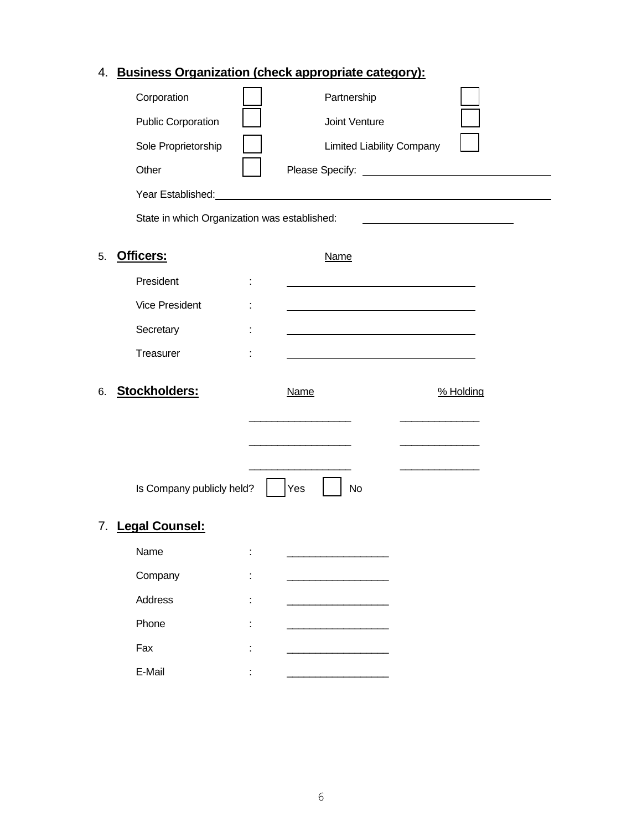### 4. **Business Organization (check appropriate category):**

|    |                                              | <u>aoineec organization (encen appropriate eategory).</u>                                                                                                                                                                      |           |  |
|----|----------------------------------------------|--------------------------------------------------------------------------------------------------------------------------------------------------------------------------------------------------------------------------------|-----------|--|
|    | Corporation                                  | Partnership                                                                                                                                                                                                                    |           |  |
|    | <b>Public Corporation</b>                    | Joint Venture                                                                                                                                                                                                                  |           |  |
|    | Sole Proprietorship                          | <b>Limited Liability Company</b>                                                                                                                                                                                               |           |  |
|    | Other                                        |                                                                                                                                                                                                                                |           |  |
|    |                                              | Year Established: Manual According to the State of the State of the State of the State of the State of the State of the State of the State of the State of the State of the State of the State of the State of the State of th |           |  |
|    | State in which Organization was established: |                                                                                                                                                                                                                                |           |  |
| 5. | Officers:                                    | <b>Name</b>                                                                                                                                                                                                                    |           |  |
|    | President                                    |                                                                                                                                                                                                                                |           |  |
|    | <b>Vice President</b>                        |                                                                                                                                                                                                                                |           |  |
|    | Secretary                                    |                                                                                                                                                                                                                                |           |  |
|    | Treasurer                                    |                                                                                                                                                                                                                                |           |  |
| 6. | Stockholders:                                | <b>Name</b>                                                                                                                                                                                                                    | % Holding |  |
|    |                                              |                                                                                                                                                                                                                                |           |  |
|    |                                              |                                                                                                                                                                                                                                |           |  |
|    | Is Company publicly held?                    | Yes<br>No                                                                                                                                                                                                                      |           |  |
|    |                                              |                                                                                                                                                                                                                                |           |  |
| 7. | <b>Legal Counsel:</b>                        |                                                                                                                                                                                                                                |           |  |
|    | Name                                         |                                                                                                                                                                                                                                |           |  |
|    | Company                                      |                                                                                                                                                                                                                                |           |  |
|    | Address                                      |                                                                                                                                                                                                                                |           |  |
|    | Phone                                        |                                                                                                                                                                                                                                |           |  |
|    | Fax                                          |                                                                                                                                                                                                                                |           |  |
|    | E-Mail                                       |                                                                                                                                                                                                                                |           |  |

L,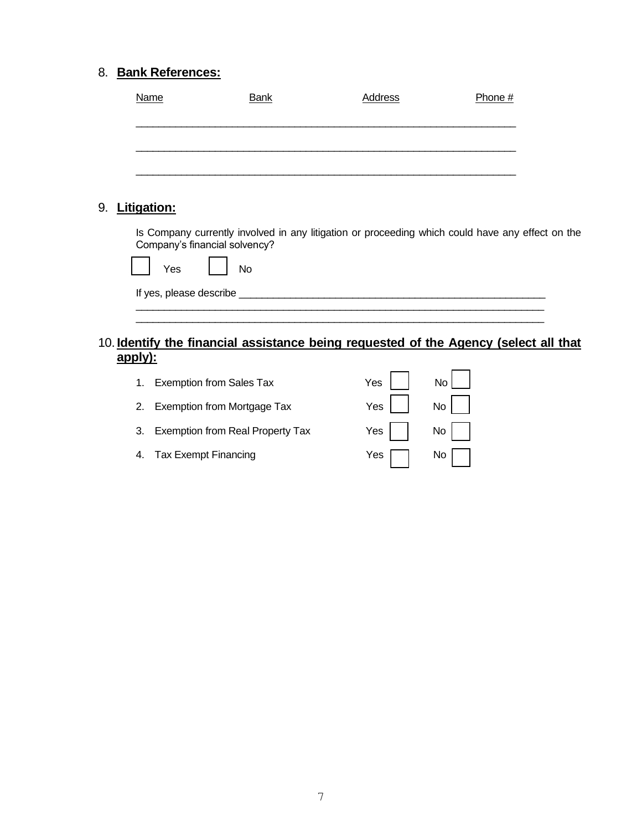### 8. **Bank References:**

|    | <u>Name</u>        | <b>Bank</b>                        | <b>Address</b> | Phone #                                                                                          |  |
|----|--------------------|------------------------------------|----------------|--------------------------------------------------------------------------------------------------|--|
|    |                    |                                    |                |                                                                                                  |  |
|    |                    |                                    |                |                                                                                                  |  |
|    |                    |                                    |                |                                                                                                  |  |
|    |                    |                                    |                |                                                                                                  |  |
|    |                    |                                    |                |                                                                                                  |  |
| 9. | <b>Litigation:</b> |                                    |                |                                                                                                  |  |
|    |                    | Company's financial solvency?      |                | Is Company currently involved in any litigation or proceeding which could have any effect on the |  |
|    | Yes                | No                                 |                |                                                                                                  |  |
|    |                    | If yes, please describe __________ |                |                                                                                                  |  |
|    |                    |                                    |                |                                                                                                  |  |
|    |                    |                                    |                |                                                                                                  |  |

### 10. **Identify the financial assistance being requested of the Agency (select all that apply):**

| 1. Exemption from Sales Tax         | Yes     No |  |
|-------------------------------------|------------|--|
| 2. Exemption from Mortgage Tax      | $Yes$ $No$ |  |
| 3. Exemption from Real Property Tax | Yes     No |  |
| 4. Tax Exempt Financing             | Yes     No |  |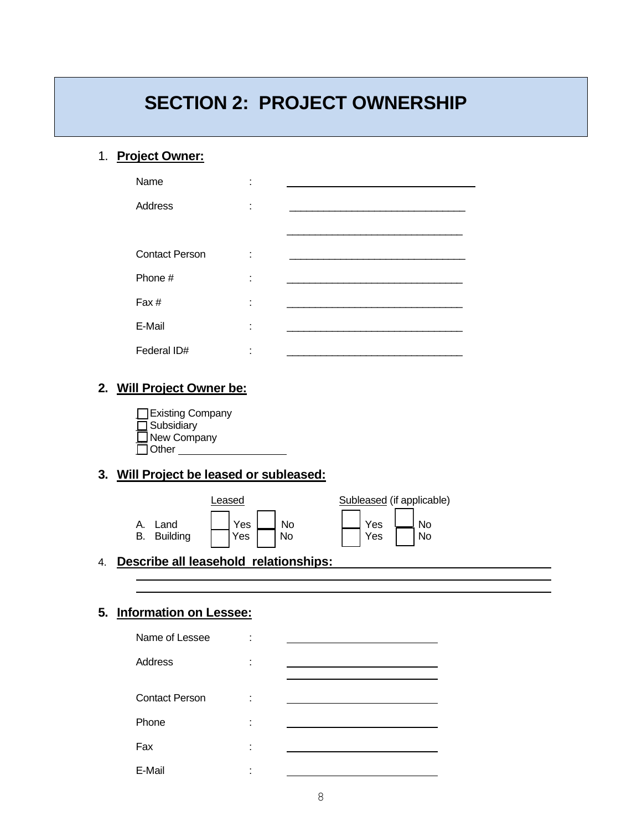## **SECTION 2: PROJECT OWNERSHIP**

#### 1. **Project Owner:**

| Name                  | ٠<br>$\blacksquare$ |  |
|-----------------------|---------------------|--|
| Address               | ٠<br>$\blacksquare$ |  |
|                       |                     |  |
| <b>Contact Person</b> | ÷                   |  |
| Phone #               | ÷                   |  |
| Fax#                  | ÷                   |  |
| E-Mail                | ٠<br>ä.             |  |
| Federal ID#           | ٠                   |  |

### **2. Will Project Owner be:**

**□ Existing Company**  $\Box$  Subsidiary \_\_ New Company  $\Box$  Other

### **3. Will Project be leased or subleased:**

|                                     | _eased       |                 | Subleased (if applicable)                       |
|-------------------------------------|--------------|-----------------|-------------------------------------------------|
| Land<br>А.<br><b>Building</b><br>В. | Yes L<br>Yes | <b>No</b><br>No | $\lfloor N_{\rm O} \rfloor$<br>Yes<br>Yes<br>No |

4. **Describe all leasehold relationships:** 

#### **5. Information on Lessee:**

| Name of Lessee        |        |  |
|-----------------------|--------|--|
| Address               | ٠      |  |
|                       |        |  |
| <b>Contact Person</b> | ٠<br>٠ |  |
| Phone                 | ٠      |  |
| Fax                   | ٠      |  |
| E-Mail                | ٠<br>٠ |  |
|                       |        |  |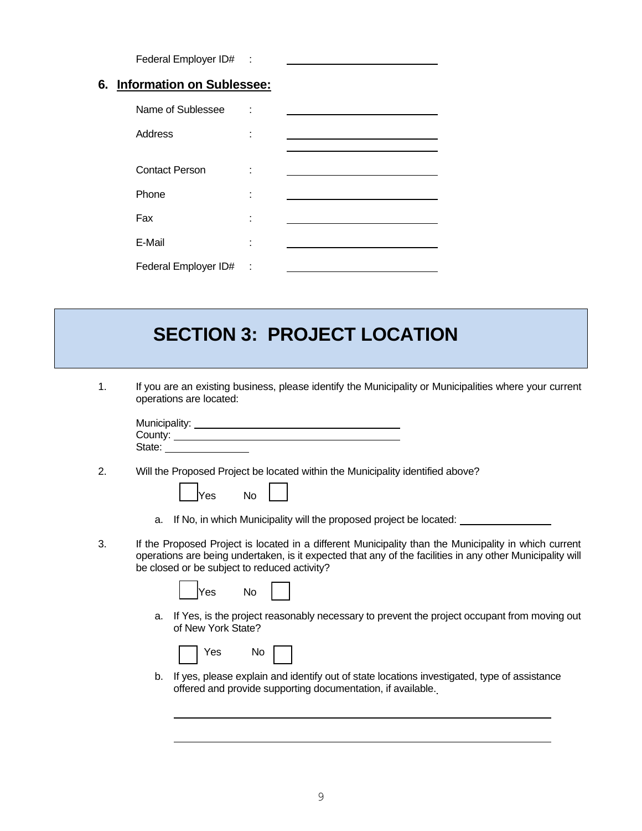Federal Employer ID# :

#### **6. Information on Sublessee:**

| Name of Sublessee     |   |  |
|-----------------------|---|--|
| Address               |   |  |
|                       |   |  |
| <b>Contact Person</b> |   |  |
| Phone                 |   |  |
|                       |   |  |
| Fax                   |   |  |
|                       |   |  |
| E-Mail                | ٠ |  |
| Federal Employer ID#  | ÷ |  |

## **SECTION 3: PROJECT LOCATION**

1. If you are an existing business, please identify the Municipality or Municipalities where your current operations are located:

| Municipality: |  |  |
|---------------|--|--|
| County:       |  |  |
| State:        |  |  |

2. Will the Proposed Project be located within the Municipality identified above?

| a. If No, in which Municipality will the proposed project be located: |
|-----------------------------------------------------------------------|
|                                                                       |

3. If the Proposed Project is located in a different Municipality than the Municipality in which current operations are being undertaken, is it expected that any of the facilities in any other Municipality will be closed or be subject to reduced activity?

| lYes | N٥ |  |
|------|----|--|
|------|----|--|

Yes No

a. If Yes, is the project reasonably necessary to prevent the project occupant from moving out of New York State?

| N٥<br>Yes |  |
|-----------|--|
|-----------|--|

b. If yes, please explain and identify out of state locations investigated, type of assistance offered and provide supporting documentation, if available.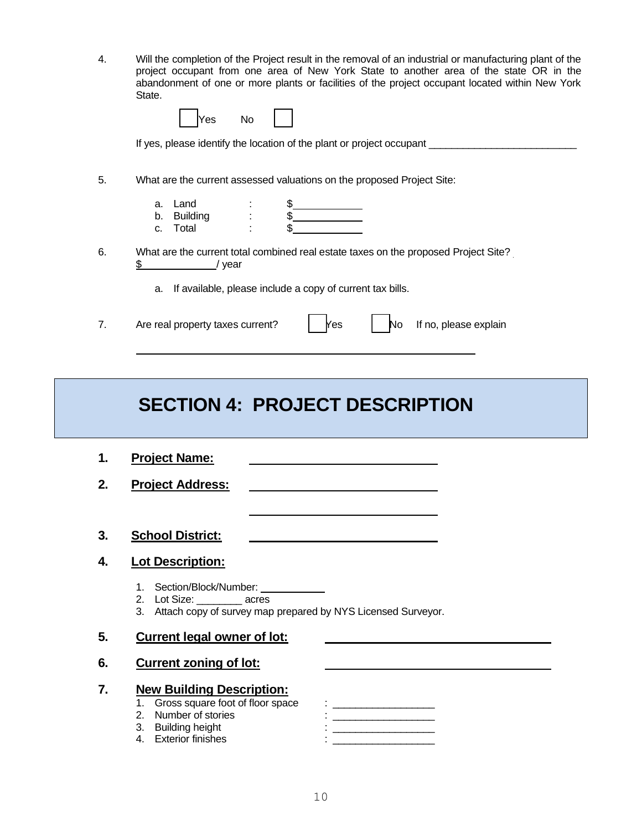4. Will the completion of the Project result in the removal of an industrial or manufacturing plant of the project occupant from one area of New York State to another area of the state OR in the abandonment of one or more plants or facilities of the project occupant located within New York State.

|    | No<br>Yes                                                                                           |
|----|-----------------------------------------------------------------------------------------------------|
|    | If yes, please identify the location of the plant or project occupant                               |
| 5. | What are the current assessed valuations on the proposed Project Site:                              |
|    | Land<br>a.<br><b>Building</b><br>b.<br>Total<br>C.                                                  |
| 6. | What are the current total combined real estate taxes on the proposed Project Site?<br>\$<br>/ year |
|    | If available, please include a copy of current tax bills.<br>a.                                     |
| 7. | If no, please explain<br>Are real property taxes current?<br>Yes<br>N٥                              |

## **SECTION 4: PROJECT DESCRIPTION**

- **1. Project Name: 2. Project Address:**
- **3. School District:**

#### **4. Lot Description:**

- 1. Section/Block/Number:
- 2. Lot Size: \_\_\_\_\_\_\_\_ acres
- 3. Attach copy of survey map prepared by NYS Licensed Surveyor.
- **5. Current legal owner of lot:**
- **6. Current zoning of lot:**

#### **7. New Building Description:**

- 
- 
- 
- 
- 1. Gross square foot of floor space : \_\_\_\_\_\_\_\_\_\_\_\_\_\_\_\_\_\_  $2.1\pm 0.00$  and  $2.1\pm 0.00$ 3. Building height : \_\_\_\_\_\_\_\_\_\_\_\_\_\_\_\_\_\_ 4. Exterior finishes :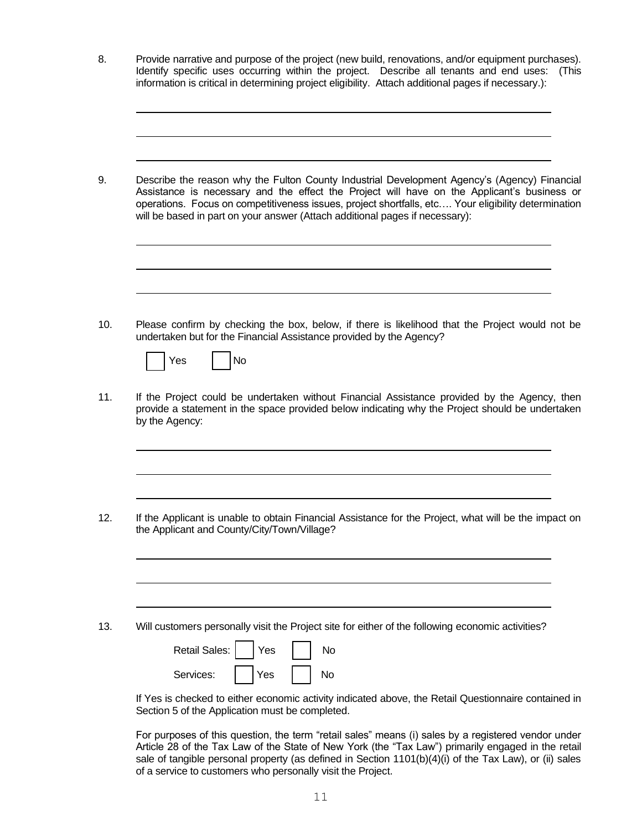8. Provide narrative and purpose of the project (new build, renovations, and/or equipment purchases). Identify specific uses occurring within the project. Describe all tenants and end uses: (This information is critical in determining project eligibility. Attach additional pages if necessary.):

9. Describe the reason why the Fulton County Industrial Development Agency's (Agency) Financial Assistance is necessary and the effect the Project will have on the Applicant's business or operations. Focus on competitiveness issues, project shortfalls, etc…. Your eligibility determination will be based in part on your answer (Attach additional pages if necessary):

10. Please confirm by checking the box, below, if there is likelihood that the Project would not be undertaken but for the Financial Assistance provided by the Agency?

|  | Yes |  | N۵ |
|--|-----|--|----|
|--|-----|--|----|

11. If the Project could be undertaken without Financial Assistance provided by the Agency, then provide a statement in the space provided below indicating why the Project should be undertaken by the Agency:

12. If the Applicant is unable to obtain Financial Assistance for the Project, what will be the impact on the Applicant and County/City/Town/Village?

13. Will customers personally visit the Project site for either of the following economic activities?

| Retail Sales: |     | Yes |  |
|---------------|-----|-----|--|
| Services:     | Yes |     |  |

If Yes is checked to either economic activity indicated above, the Retail Questionnaire contained in Section 5 of the Application must be completed.

For purposes of this question, the term "retail sales" means (i) sales by a registered vendor under Article 28 of the Tax Law of the State of New York (the "Tax Law") primarily engaged in the retail sale of tangible personal property (as defined in Section 1101(b)(4)(i) of the Tax Law), or (ii) sales of a service to customers who personally visit the Project.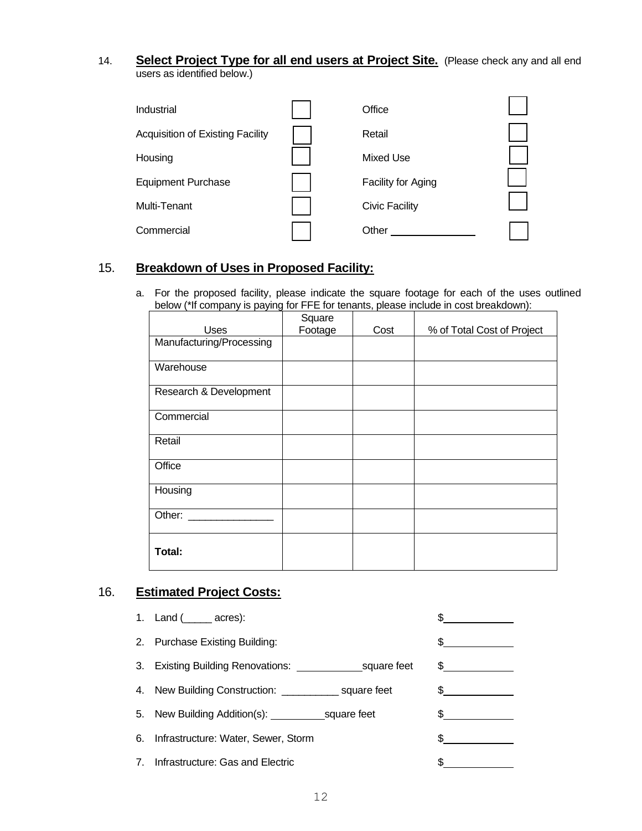14. **Select Project Type for all end users at Project Site.** (Please check any and all end users as identified below.)

| Industrial                              | Office                |  |
|-----------------------------------------|-----------------------|--|
| <b>Acquisition of Existing Facility</b> | Retail                |  |
| Housing                                 | Mixed Use             |  |
| <b>Equipment Purchase</b>               | Facility for Aging    |  |
| Multi-Tenant                            | <b>Civic Facility</b> |  |
| Commercial                              | Other                 |  |

#### 15. **Breakdown of Uses in Proposed Facility:**

a. For the proposed facility, please indicate the square footage for each of the uses outlined below (\*If company is paying for FFE for tenants, please include in cost breakdown):

| <b>Uses</b>              | Square<br>Footage | Cost | % of Total Cost of Project |
|--------------------------|-------------------|------|----------------------------|
| Manufacturing/Processing |                   |      |                            |
| Warehouse                |                   |      |                            |
| Research & Development   |                   |      |                            |
| Commercial               |                   |      |                            |
| Retail                   |                   |      |                            |
| Office                   |                   |      |                            |
| Housing                  |                   |      |                            |
| Other:                   |                   |      |                            |
| Total:                   |                   |      |                            |

### 16. **Estimated Project Costs:**

|                | 1. Land $($ _____ acres):                                 |               |
|----------------|-----------------------------------------------------------|---------------|
|                | 2. Purchase Existing Building:                            |               |
|                |                                                           | $\frac{1}{2}$ |
|                | 4. New Building Construction: _______________ square feet |               |
|                |                                                           |               |
| 6.             | Infrastructure: Water, Sewer, Storm                       |               |
| 7 <sub>1</sub> | Infrastructure: Gas and Electric                          |               |
|                |                                                           |               |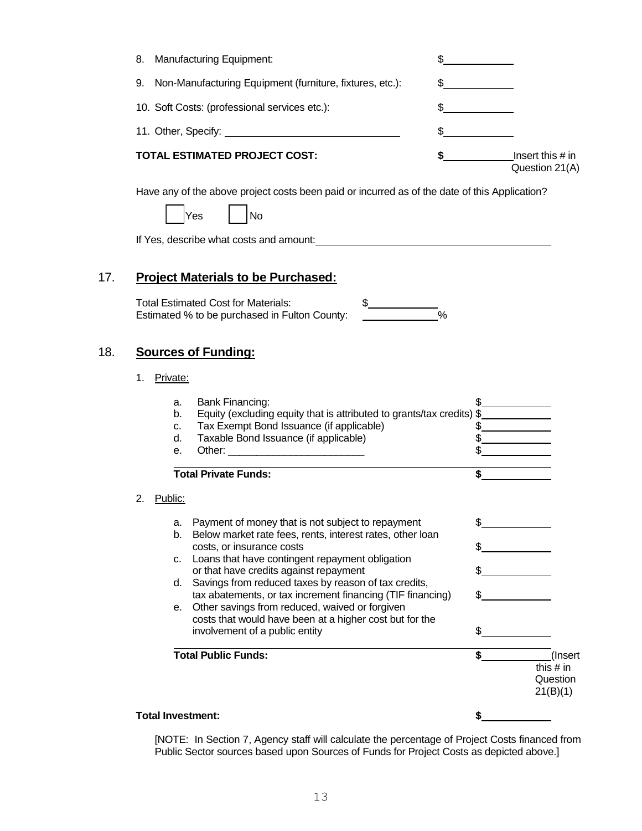|     | 8.<br><b>Manufacturing Equipment:</b>                                                                                                                                                                                                                                                                                                                                                                                                                                                                                                                        |                                                       |
|-----|--------------------------------------------------------------------------------------------------------------------------------------------------------------------------------------------------------------------------------------------------------------------------------------------------------------------------------------------------------------------------------------------------------------------------------------------------------------------------------------------------------------------------------------------------------------|-------------------------------------------------------|
|     | Non-Manufacturing Equipment (furniture, fixtures, etc.):<br>9.<br>\$                                                                                                                                                                                                                                                                                                                                                                                                                                                                                         |                                                       |
|     | 10. Soft Costs: (professional services etc.):<br>\$                                                                                                                                                                                                                                                                                                                                                                                                                                                                                                          |                                                       |
|     | \$                                                                                                                                                                                                                                                                                                                                                                                                                                                                                                                                                           |                                                       |
|     | <b>TOTAL ESTIMATED PROJECT COST:</b><br>\$                                                                                                                                                                                                                                                                                                                                                                                                                                                                                                                   | Insert this $#$ in<br>Question 21(A)                  |
|     | Have any of the above project costs been paid or incurred as of the date of this Application?<br>Yes<br>No<br>If Yes, describe what costs and amount:                                                                                                                                                                                                                                                                                                                                                                                                        |                                                       |
| 17. | <b>Project Materials to be Purchased:</b><br><b>Total Estimated Cost for Materials:</b><br>$\frac{1}{2}$<br>$\frac{1}{\sqrt{2}}$<br>Estimated % to be purchased in Fulton County:                                                                                                                                                                                                                                                                                                                                                                            |                                                       |
| 18. | <b>Sources of Funding:</b><br>Private:<br>1.                                                                                                                                                                                                                                                                                                                                                                                                                                                                                                                 |                                                       |
|     | Bank Financing:<br>a.<br>Equity (excluding equity that is attributed to grants/tax credits) \$<br>b.<br>Tax Exempt Bond Issuance (if applicable)<br>C.<br>Taxable Bond Issuance (if applicable)<br>d.<br>е.<br><b>Total Private Funds:</b>                                                                                                                                                                                                                                                                                                                   | \$<br>\$<br>\$                                        |
|     | 2.<br>Public:<br>Payment of money that is not subject to repayment<br>a.<br>Below market rate fees, rents, interest rates, other loan<br>b.<br>costs, or insurance costs<br>Loans that have contingent repayment obligation<br>c.<br>or that have credits against repayment<br>Savings from reduced taxes by reason of tax credits,<br>d.<br>tax abatements, or tax increment financing (TIF financing)<br>Other savings from reduced, waived or forgiven<br>е.<br>costs that would have been at a higher cost but for the<br>involvement of a public entity | \$<br>\$                                              |
|     | <b>Total Public Funds:</b>                                                                                                                                                                                                                                                                                                                                                                                                                                                                                                                                   | \$<br>(Insert)<br>this $#$ in<br>Question<br>21(B)(1) |
|     | <b>Total Investment:</b>                                                                                                                                                                                                                                                                                                                                                                                                                                                                                                                                     | \$                                                    |

18. **Sources of Funding:**

[NOTE: In Section 7, Agency staff will calculate the percentage of Project Costs financed from Public Sector sources based upon Sources of Funds for Project Costs as depicted above.]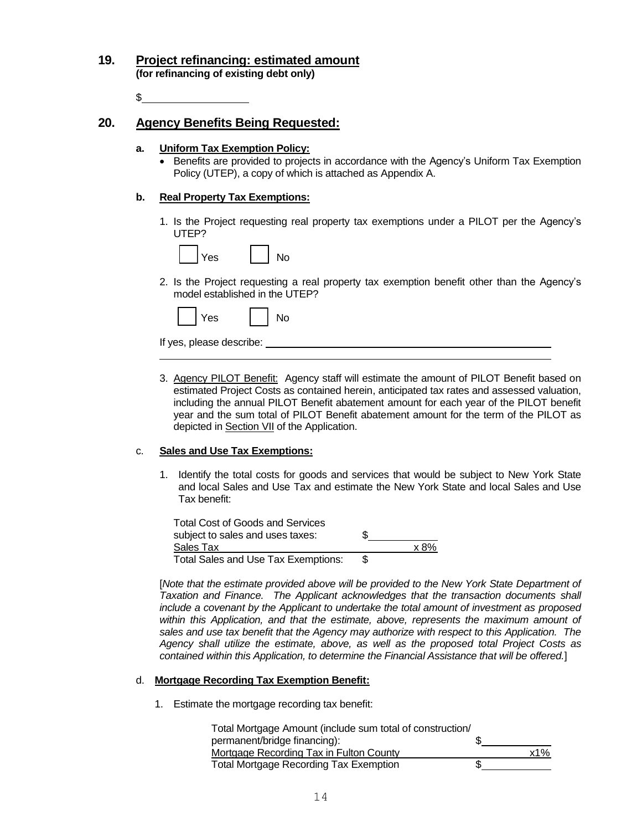#### **19. Project refinancing: estimated amount (for refinancing of existing debt only)**

\$

#### **20. Agency Benefits Being Requested:**

#### **a. Uniform Tax Exemption Policy:**

• Benefits are provided to projects in accordance with the Agency's Uniform Tax Exemption Policy (UTEP), a copy of which is attached as Appendix A.

#### **b. Real Property Tax Exemptions:**

1. Is the Project requesting real property tax exemptions under a PILOT per the Agency's UTEP?



2. Is the Project requesting a real property tax exemption benefit other than the Agency's model established in the UTEP?

| No<br><b>Yes</b> |
|------------------|
|------------------|

If yes, please describe:

3. Agency PILOT Benefit: Agency staff will estimate the amount of PILOT Benefit based on estimated Project Costs as contained herein, anticipated tax rates and assessed valuation, including the annual PILOT Benefit abatement amount for each year of the PILOT benefit year and the sum total of PILOT Benefit abatement amount for the term of the PILOT as depicted in **Section VII** of the Application.

#### c. **Sales and Use Tax Exemptions:**

1. Identify the total costs for goods and services that would be subject to New York State and local Sales and Use Tax and estimate the New York State and local Sales and Use Tax benefit:

Total Cost of Goods and Services subject to sales and uses taxes:  $\$\$$ Sales Tax x 8% Total Sales and Use Tax Exemptions: \$

[*Note that the estimate provided above will be provided to the New York State Department of Taxation and Finance. The Applicant acknowledges that the transaction documents shall include a covenant by the Applicant to undertake the total amount of investment as proposed*  within this Application, and that the estimate, above, represents the maximum amount of *sales and use tax benefit that the Agency may authorize with respect to this Application. The Agency shall utilize the estimate, above, as well as the proposed total Project Costs as contained within this Application, to determine the Financial Assistance that will be offered.*]

#### d. **Mortgage Recording Tax Exemption Benefit:**

1. Estimate the mortgage recording tax benefit:

| Total Mortgage Amount (include sum total of construction/ |     |
|-----------------------------------------------------------|-----|
| permanent/bridge financing):                              |     |
| Mortgage Recording Tax in Fulton County                   | x1% |
| <b>Total Mortgage Recording Tax Exemption</b>             |     |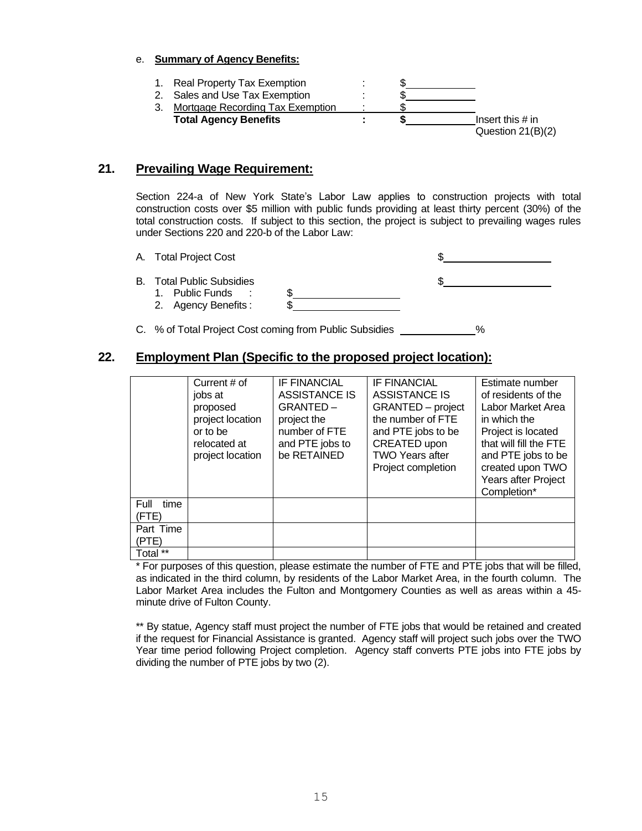#### e. **Summary of Agency Benefits:**

1. Real Property Tax Exemption : 2. Sales and Use Tax Exemption : 3. Mortgage Recording Tax Exemption **Total Agency Benefits : \$** Insert this # in Question 21(B)(2)

#### **21. Prevailing Wage Requirement:**

Section 224-a of New York State's Labor Law applies to construction projects with total construction costs over \$5 million with public funds providing at least thirty percent (30%) of the total construction costs. If subject to this section, the project is subject to prevailing wages rules under Sections 220 and 220-b of the Labor Law:

- A. Total Project Cost \$ **B.** Total Public Subsidies 1. Public Funds : 2. Agency Benefits :
- C. % of Total Project Cost coming from Public Subsidies \_\_\_\_\_\_\_\_\_\_\_\_%

#### **22. Employment Plan (Specific to the proposed project location):**

|                       | Current # of<br>jobs at<br>proposed<br>project location<br>or to be<br>relocated at<br>project location | <b>IF FINANCIAL</b><br>ASSISTANCE IS<br>GRANTED-<br>project the<br>number of FTE<br>and PTE jobs to<br>be RETAINED | <b>IF FINANCIAL</b><br>ASSISTANCE IS<br><b>GRANTED</b> – project<br>the number of FTE<br>and PTE jobs to be<br>CREATED upon<br><b>TWO Years after</b><br>Project completion | Estimate number<br>of residents of the<br>Labor Market Area<br>in which the<br>Project is located<br>that will fill the FTE<br>and PTE jobs to be<br>created upon TWO<br>Years after Project<br>Completion* |
|-----------------------|---------------------------------------------------------------------------------------------------------|--------------------------------------------------------------------------------------------------------------------|-----------------------------------------------------------------------------------------------------------------------------------------------------------------------------|-------------------------------------------------------------------------------------------------------------------------------------------------------------------------------------------------------------|
| Full<br>time<br>(FTE) |                                                                                                         |                                                                                                                    |                                                                                                                                                                             |                                                                                                                                                                                                             |
| Part Time<br>(PTE)    |                                                                                                         |                                                                                                                    |                                                                                                                                                                             |                                                                                                                                                                                                             |
| Total **              |                                                                                                         |                                                                                                                    |                                                                                                                                                                             |                                                                                                                                                                                                             |

\* For purposes of this question, please estimate the number of FTE and PTE jobs that will be filled, as indicated in the third column, by residents of the Labor Market Area, in the fourth column. The Labor Market Area includes the Fulton and Montgomery Counties as well as areas within a 45 minute drive of Fulton County.

\*\* By statue, Agency staff must project the number of FTE jobs that would be retained and created if the request for Financial Assistance is granted. Agency staff will project such jobs over the TWO Year time period following Project completion. Agency staff converts PTE jobs into FTE jobs by dividing the number of PTE jobs by two (2).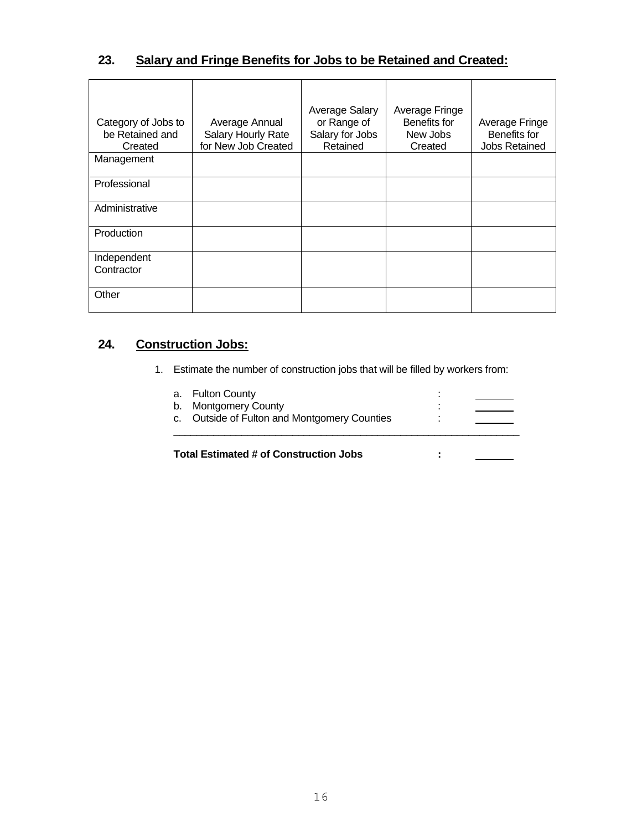### **23. Salary and Fringe Benefits for Jobs to be Retained and Created:**

| Category of Jobs to<br>be Retained and<br>Created | Average Annual<br>Salary Hourly Rate<br>for New Job Created | Average Salary<br>or Range of<br>Salary for Jobs<br>Retained | Average Fringe<br>Benefits for<br>New Jobs<br>Created | Average Fringe<br>Benefits for<br><b>Jobs Retained</b> |
|---------------------------------------------------|-------------------------------------------------------------|--------------------------------------------------------------|-------------------------------------------------------|--------------------------------------------------------|
| Management                                        |                                                             |                                                              |                                                       |                                                        |
| Professional                                      |                                                             |                                                              |                                                       |                                                        |
| Administrative                                    |                                                             |                                                              |                                                       |                                                        |
| Production                                        |                                                             |                                                              |                                                       |                                                        |
| Independent<br>Contractor                         |                                                             |                                                              |                                                       |                                                        |
| Other                                             |                                                             |                                                              |                                                       |                                                        |

## **24. Construction Jobs:**

1. Estimate the number of construction jobs that will be filled by workers from:

| <b>Total Estimated # of Construction Jobs</b> |   |  |
|-----------------------------------------------|---|--|
| c. Outside of Fulton and Montgomery Counties  |   |  |
| b. Montgomery County                          | ٠ |  |
| a. Fulton County                              |   |  |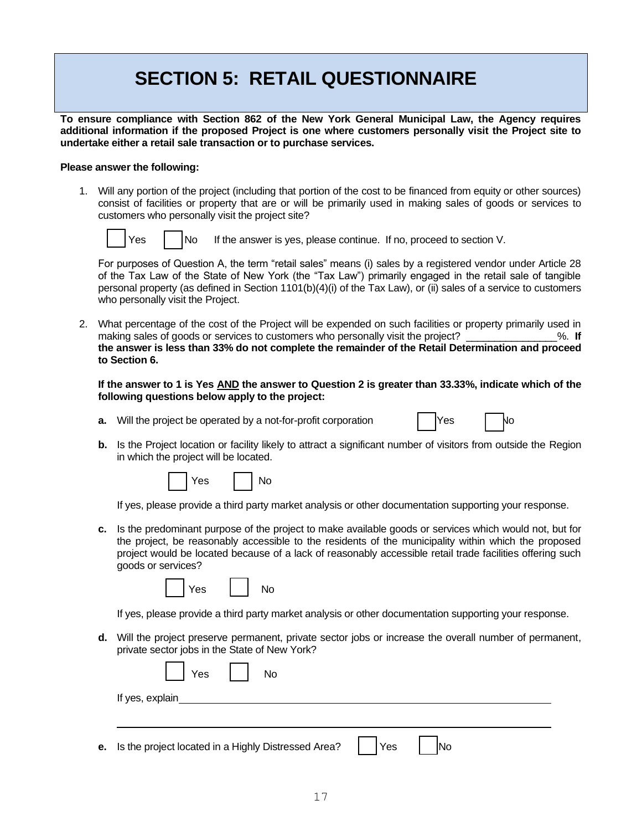## **SECTION 5: RETAIL QUESTIONNAIRE**

**To ensure compliance with Section 862 of the New York General Municipal Law, the Agency requires additional information if the proposed Project is one where customers personally visit the Project site to undertake either a retail sale transaction or to purchase services.**

#### **Please answer the following:**

1. Will any portion of the project (including that portion of the cost to be financed from equity or other sources) consist of facilities or property that are or will be primarily used in making sales of goods or services to customers who personally visit the project site?



 $Yes$   $\bigcup$  No If the answer is yes, please continue. If no, proceed to section V.

For purposes of Question A, the term "retail sales" means (i) sales by a registered vendor under Article 28 of the Tax Law of the State of New York (the "Tax Law") primarily engaged in the retail sale of tangible personal property (as defined in Section 1101(b)(4)(i) of the Tax Law), or (ii) sales of a service to customers who personally visit the Project.

2. What percentage of the cost of the Project will be expended on such facilities or property primarily used in making sales of goods or services to customers who personally visit the project?  $\%$ . If **the answer is less than 33% do not complete the remainder of the Retail Determination and proceed to Section 6.**

**If the answer to 1 is Yes AND the answer to Question 2 is greater than 33.33%, indicate which of the following questions below apply to the project:**

- **a.** Will the project be operated by a not-for-profit corporation  $\vert$  Yes  $\vert$  No
- 
- **b.** Is the Project location or facility likely to attract a significant number of visitors from outside the Region in which the project will be located.



If yes, please provide a third party market analysis or other documentation supporting your response.

**c.** Is the predominant purpose of the project to make available goods or services which would not, but for the project, be reasonably accessible to the residents of the municipality within which the proposed project would be located because of a lack of reasonably accessible retail trade facilities offering such goods or services?

|  |  | es |  |  |
|--|--|----|--|--|
|--|--|----|--|--|

If yes, please provide a third party market analysis or other documentation supporting your response.

**d.** Will the project preserve permanent, private sector jobs or increase the overall number of permanent, private sector jobs in the State of New York?

| $\Box$ Yes $\Box$ No |
|----------------------|
| If yes, explain      |
|                      |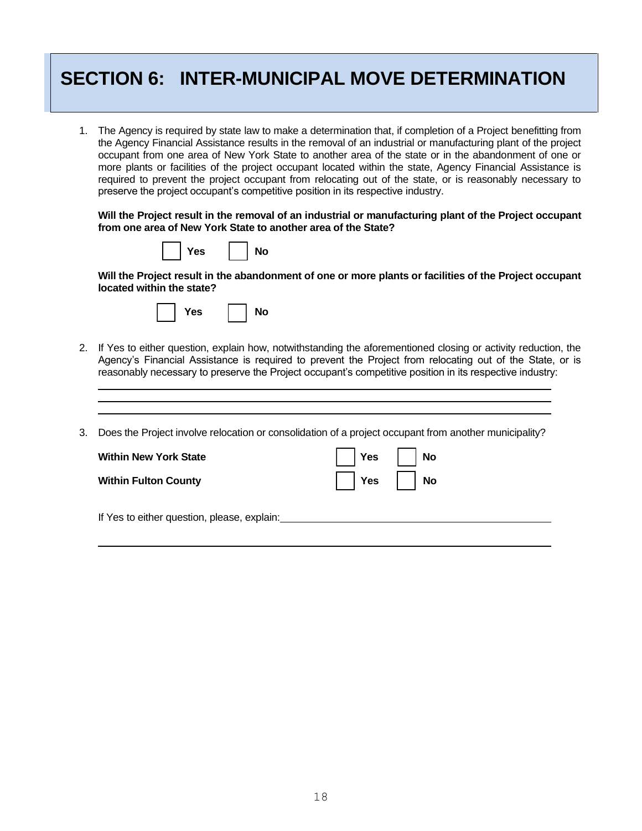## **SECTION 6: INTER-MUNICIPAL MOVE DETERMINATION**

1. The Agency is required by state law to make a determination that, if completion of a Project benefitting from the Agency Financial Assistance results in the removal of an industrial or manufacturing plant of the project occupant from one area of New York State to another area of the state or in the abandonment of one or more plants or facilities of the project occupant located within the state, Agency Financial Assistance is required to prevent the project occupant from relocating out of the state, or is reasonably necessary to preserve the project occupant's competitive position in its respective industry.

**Will the Project result in the removal of an industrial or manufacturing plant of the Project occupant from one area of New York State to another area of the State?**

|  |  | Yes No |  |  |
|--|--|--------|--|--|
|--|--|--------|--|--|

**Will the Project result in the abandonment of one or more plants or facilities of the Project occupant located within the state?**

|  |  | Yes |  | $\overline{\phantom{a}}$ No |
|--|--|-----|--|-----------------------------|
|--|--|-----|--|-----------------------------|

2. If Yes to either question, explain how, notwithstanding the aforementioned closing or activity reduction, the Agency's Financial Assistance is required to prevent the Project from relocating out of the State, or is reasonably necessary to preserve the Project occupant's competitive position in its respective industry:

3. Does the Project involve relocation or consolidation of a project occupant from another municipality?

| <b>Within New York State</b>                | $\vert$ Yes $\vert$ No |
|---------------------------------------------|------------------------|
| <b>Within Fulton County</b>                 | $\vert$ Yes $\vert$ No |
| If Yes to either question, please, explain: |                        |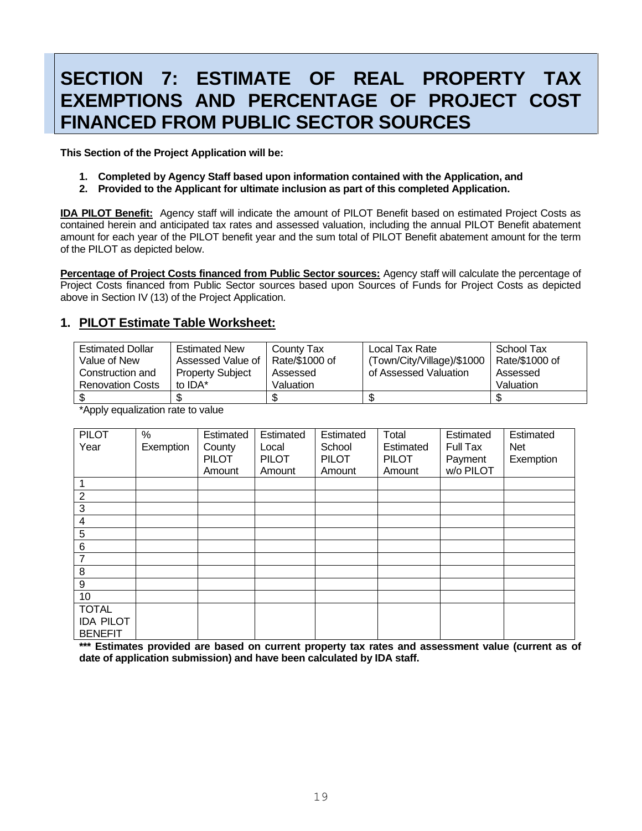## **SECTION 7: ESTIMATE OF REAL PROPERTY TAX EXEMPTIONS AND PERCENTAGE OF PROJECT COST FINANCED FROM PUBLIC SECTOR SOURCES**

**This Section of the Project Application will be:**

- **1. Completed by Agency Staff based upon information contained with the Application, and**
- **2. Provided to the Applicant for ultimate inclusion as part of this completed Application.**

**IDA PILOT Benefit:** Agency staff will indicate the amount of PILOT Benefit based on estimated Project Costs as contained herein and anticipated tax rates and assessed valuation, including the annual PILOT Benefit abatement amount for each year of the PILOT benefit year and the sum total of PILOT Benefit abatement amount for the term of the PILOT as depicted below.

**Percentage of Project Costs financed from Public Sector sources:** Agency staff will calculate the percentage of Project Costs financed from Public Sector sources based upon Sources of Funds for Project Costs as depicted above in Section IV (13) of the Project Application.

#### **1. PILOT Estimate Table Worksheet:**

| <b>Estimated Dollar</b><br>Value of New | <b>Estimated New</b><br>Assessed Value of | County Tax<br>Rate/\$1000 of | Local Tax Rate<br>(Town/City/Village)/\$1000 | School Tax<br>Rate/\$1000 of |
|-----------------------------------------|-------------------------------------------|------------------------------|----------------------------------------------|------------------------------|
| Construction and                        | <b>Property Subject</b>                   | Assessed                     | of Assessed Valuation                        | Assessed                     |
| <b>Renovation Costs</b>                 | to IDA*                                   | Valuation                    |                                              | Valuation                    |
| \$                                      | د ۱                                       | ъD                           |                                              |                              |

\*Apply equalization rate to value

| <b>PILOT</b>     | %         | Estimated    | Estimated    | Estimated    | Total        | Estimated | Estimated  |
|------------------|-----------|--------------|--------------|--------------|--------------|-----------|------------|
| Year             | Exemption | County       | Local        | School       | Estimated    | Full Tax  | <b>Net</b> |
|                  |           | <b>PILOT</b> | <b>PILOT</b> | <b>PILOT</b> | <b>PILOT</b> | Payment   | Exemption  |
|                  |           | Amount       | Amount       | Amount       | Amount       | w/o PILOT |            |
|                  |           |              |              |              |              |           |            |
| $\overline{2}$   |           |              |              |              |              |           |            |
| 3                |           |              |              |              |              |           |            |
| 4                |           |              |              |              |              |           |            |
| 5                |           |              |              |              |              |           |            |
| $\,6$            |           |              |              |              |              |           |            |
| $\overline{7}$   |           |              |              |              |              |           |            |
| 8                |           |              |              |              |              |           |            |
| 9                |           |              |              |              |              |           |            |
| 10               |           |              |              |              |              |           |            |
| <b>TOTAL</b>     |           |              |              |              |              |           |            |
| <b>IDA PILOT</b> |           |              |              |              |              |           |            |
| <b>BENEFIT</b>   |           |              |              |              |              |           |            |

**\*\*\* Estimates provided are based on current property tax rates and assessment value (current as of date of application submission) and have been calculated by IDA staff.**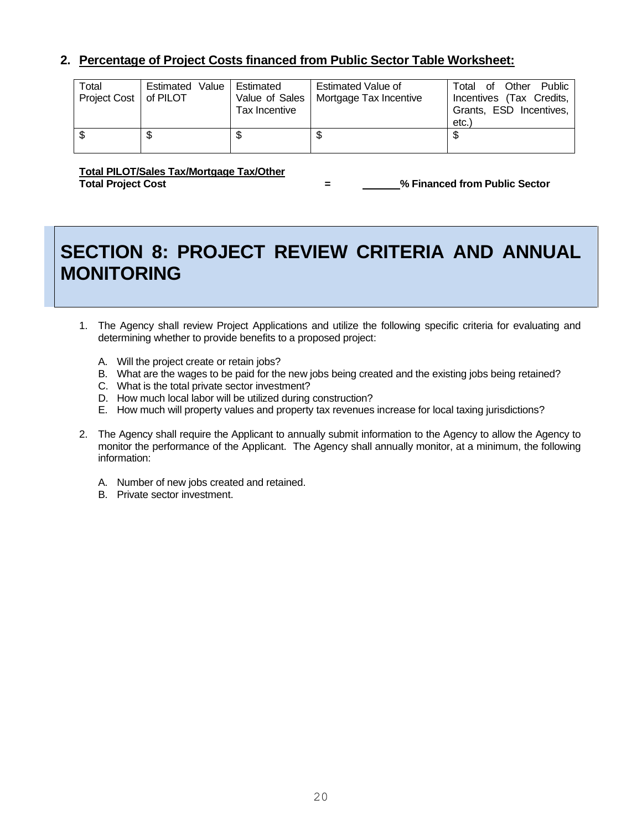#### **2. Percentage of Project Costs financed from Public Sector Table Worksheet:**

| Total<br>Project Cost   of PILOT | Estimated Value | Estimated<br>Value of Sales  <br>Tax Incentive | Estimated Value of<br>Mortgage Tax Incentive | Total of Other Public<br>Incentives (Tax Credits,<br>Grants, ESD Incentives,<br>etc. |
|----------------------------------|-----------------|------------------------------------------------|----------------------------------------------|--------------------------------------------------------------------------------------|
| ß.                               |                 | J                                              | \$                                           | S                                                                                    |

**Total PILOT/Sales Tax/Mortgage Tax/Other Total Project Cost = % Financed from Public Sector**

## **SECTION 8: PROJECT REVIEW CRITERIA AND ANNUAL MONITORING**

- 1. The Agency shall review Project Applications and utilize the following specific criteria for evaluating and determining whether to provide benefits to a proposed project:
	- A. Will the project create or retain jobs?
	- B. What are the wages to be paid for the new jobs being created and the existing jobs being retained?
	- C. What is the total private sector investment?
	- D. How much local labor will be utilized during construction?
	- E. How much will property values and property tax revenues increase for local taxing jurisdictions?
- 2. The Agency shall require the Applicant to annually submit information to the Agency to allow the Agency to monitor the performance of the Applicant. The Agency shall annually monitor, at a minimum, the following information:
	- A. Number of new jobs created and retained.
	- B. Private sector investment.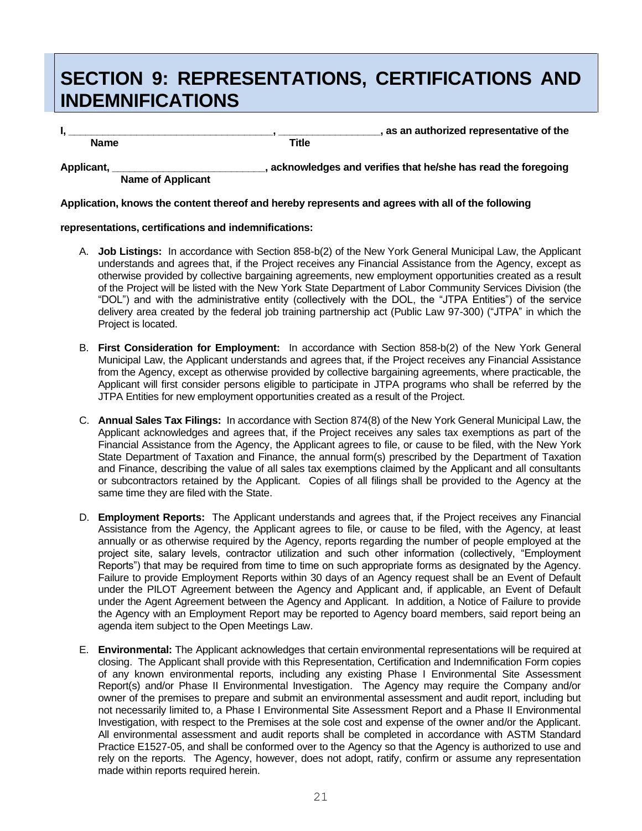## **SECTION 9: REPRESENTATIONS, CERTIFICATIONS AND INDEMNIFICATIONS**

**Name** Title

**I, \_\_\_\_\_\_\_\_\_\_\_\_\_\_\_\_\_\_\_\_\_\_\_\_\_\_\_\_\_\_\_\_\_\_\_\_, \_\_\_\_\_\_\_\_\_\_\_\_\_\_\_\_\_\_, as an authorized representative of the** 

**Applicant, \_\_\_\_\_\_\_\_\_\_\_\_\_\_\_\_\_\_\_\_\_\_\_\_\_\_\_, acknowledges and verifies that he/she has read the foregoing Name of Applicant**

**Application, knows the content thereof and hereby represents and agrees with all of the following**

#### **representations, certifications and indemnifications:**

- A. **Job Listings:** In accordance with Section 858-b(2) of the New York General Municipal Law, the Applicant understands and agrees that, if the Project receives any Financial Assistance from the Agency, except as otherwise provided by collective bargaining agreements, new employment opportunities created as a result of the Project will be listed with the New York State Department of Labor Community Services Division (the "DOL") and with the administrative entity (collectively with the DOL, the "JTPA Entities") of the service delivery area created by the federal job training partnership act (Public Law 97-300) ("JTPA" in which the Project is located.
- B. **First Consideration for Employment:** In accordance with Section 858-b(2) of the New York General Municipal Law, the Applicant understands and agrees that, if the Project receives any Financial Assistance from the Agency, except as otherwise provided by collective bargaining agreements, where practicable, the Applicant will first consider persons eligible to participate in JTPA programs who shall be referred by the JTPA Entities for new employment opportunities created as a result of the Project.
- C. **Annual Sales Tax Filings:** In accordance with Section 874(8) of the New York General Municipal Law, the Applicant acknowledges and agrees that, if the Project receives any sales tax exemptions as part of the Financial Assistance from the Agency, the Applicant agrees to file, or cause to be filed, with the New York State Department of Taxation and Finance, the annual form(s) prescribed by the Department of Taxation and Finance, describing the value of all sales tax exemptions claimed by the Applicant and all consultants or subcontractors retained by the Applicant. Copies of all filings shall be provided to the Agency at the same time they are filed with the State.
- D. **Employment Reports:** The Applicant understands and agrees that, if the Project receives any Financial Assistance from the Agency, the Applicant agrees to file, or cause to be filed, with the Agency, at least annually or as otherwise required by the Agency, reports regarding the number of people employed at the project site, salary levels, contractor utilization and such other information (collectively, "Employment Reports") that may be required from time to time on such appropriate forms as designated by the Agency. Failure to provide Employment Reports within 30 days of an Agency request shall be an Event of Default under the PILOT Agreement between the Agency and Applicant and, if applicable, an Event of Default under the Agent Agreement between the Agency and Applicant. In addition, a Notice of Failure to provide the Agency with an Employment Report may be reported to Agency board members, said report being an agenda item subject to the Open Meetings Law.
- E. **Environmental:** The Applicant acknowledges that certain environmental representations will be required at closing. The Applicant shall provide with this Representation, Certification and Indemnification Form copies of any known environmental reports, including any existing Phase I Environmental Site Assessment Report(s) and/or Phase II Environmental Investigation. The Agency may require the Company and/or owner of the premises to prepare and submit an environmental assessment and audit report, including but not necessarily limited to, a Phase I Environmental Site Assessment Report and a Phase II Environmental Investigation, with respect to the Premises at the sole cost and expense of the owner and/or the Applicant. All environmental assessment and audit reports shall be completed in accordance with ASTM Standard Practice E1527-05, and shall be conformed over to the Agency so that the Agency is authorized to use and rely on the reports. The Agency, however, does not adopt, ratify, confirm or assume any representation made within reports required herein.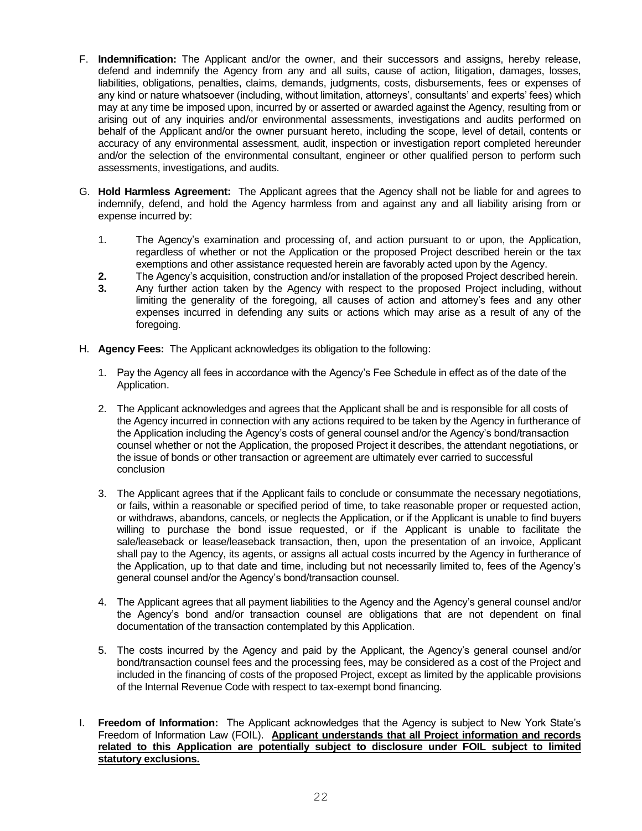- F. **Indemnification:** The Applicant and/or the owner, and their successors and assigns, hereby release, defend and indemnify the Agency from any and all suits, cause of action, litigation, damages, losses, liabilities, obligations, penalties, claims, demands, judgments, costs, disbursements, fees or expenses of any kind or nature whatsoever (including, without limitation, attorneys', consultants' and experts' fees) which may at any time be imposed upon, incurred by or asserted or awarded against the Agency, resulting from or arising out of any inquiries and/or environmental assessments, investigations and audits performed on behalf of the Applicant and/or the owner pursuant hereto, including the scope, level of detail, contents or accuracy of any environmental assessment, audit, inspection or investigation report completed hereunder and/or the selection of the environmental consultant, engineer or other qualified person to perform such assessments, investigations, and audits.
- G. **Hold Harmless Agreement:** The Applicant agrees that the Agency shall not be liable for and agrees to indemnify, defend, and hold the Agency harmless from and against any and all liability arising from or expense incurred by:
	- 1. The Agency's examination and processing of, and action pursuant to or upon, the Application, regardless of whether or not the Application or the proposed Project described herein or the tax exemptions and other assistance requested herein are favorably acted upon by the Agency.
	- **2.** The Agency's acquisition, construction and/or installation of the proposed Project described herein.
	- **3.** Any further action taken by the Agency with respect to the proposed Project including, without limiting the generality of the foregoing, all causes of action and attorney's fees and any other expenses incurred in defending any suits or actions which may arise as a result of any of the foregoing.
- H. **Agency Fees:** The Applicant acknowledges its obligation to the following:
	- 1. Pay the Agency all fees in accordance with the Agency's Fee Schedule in effect as of the date of the Application.
	- 2. The Applicant acknowledges and agrees that the Applicant shall be and is responsible for all costs of the Agency incurred in connection with any actions required to be taken by the Agency in furtherance of the Application including the Agency's costs of general counsel and/or the Agency's bond/transaction counsel whether or not the Application, the proposed Project it describes, the attendant negotiations, or the issue of bonds or other transaction or agreement are ultimately ever carried to successful conclusion
	- 3. The Applicant agrees that if the Applicant fails to conclude or consummate the necessary negotiations, or fails, within a reasonable or specified period of time, to take reasonable proper or requested action, or withdraws, abandons, cancels, or neglects the Application, or if the Applicant is unable to find buyers willing to purchase the bond issue requested, or if the Applicant is unable to facilitate the sale/leaseback or lease/leaseback transaction, then, upon the presentation of an invoice, Applicant shall pay to the Agency, its agents, or assigns all actual costs incurred by the Agency in furtherance of the Application, up to that date and time, including but not necessarily limited to, fees of the Agency's general counsel and/or the Agency's bond/transaction counsel.
	- 4. The Applicant agrees that all payment liabilities to the Agency and the Agency's general counsel and/or the Agency's bond and/or transaction counsel are obligations that are not dependent on final documentation of the transaction contemplated by this Application.
	- 5. The costs incurred by the Agency and paid by the Applicant, the Agency's general counsel and/or bond/transaction counsel fees and the processing fees, may be considered as a cost of the Project and included in the financing of costs of the proposed Project, except as limited by the applicable provisions of the Internal Revenue Code with respect to tax-exempt bond financing.
- I. **Freedom of Information:** The Applicant acknowledges that the Agency is subject to New York State's Freedom of Information Law (FOIL). **Applicant understands that all Project information and records related to this Application are potentially subject to disclosure under FOIL subject to limited statutory exclusions.**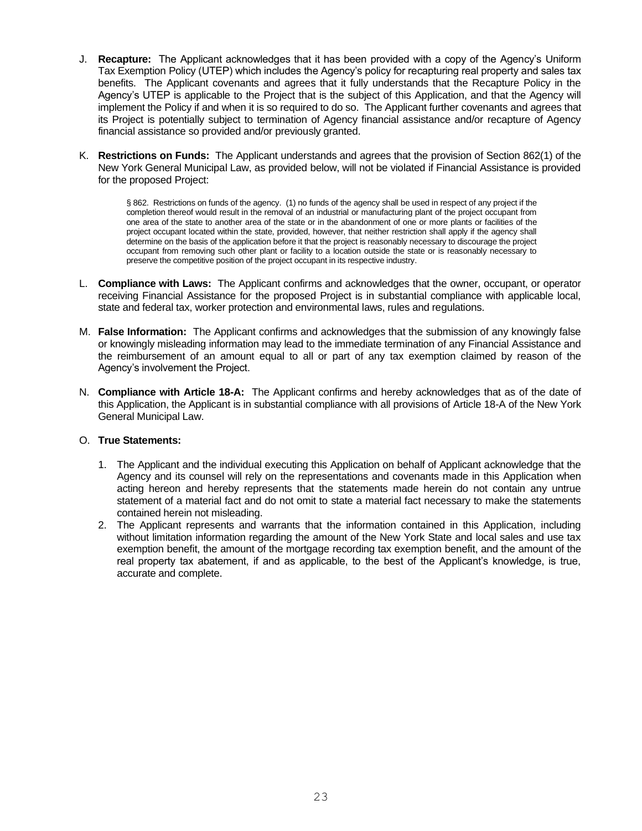- J. **Recapture:** The Applicant acknowledges that it has been provided with a copy of the Agency's Uniform Tax Exemption Policy (UTEP) which includes the Agency's policy for recapturing real property and sales tax benefits. The Applicant covenants and agrees that it fully understands that the Recapture Policy in the Agency's UTEP is applicable to the Project that is the subject of this Application, and that the Agency will implement the Policy if and when it is so required to do so. The Applicant further covenants and agrees that its Project is potentially subject to termination of Agency financial assistance and/or recapture of Agency financial assistance so provided and/or previously granted.
- K. **Restrictions on Funds:** The Applicant understands and agrees that the provision of Section 862(1) of the New York General Municipal Law, as provided below, will not be violated if Financial Assistance is provided for the proposed Project:

§ 862. Restrictions on funds of the agency. (1) no funds of the agency shall be used in respect of any project if the completion thereof would result in the removal of an industrial or manufacturing plant of the project occupant from one area of the state to another area of the state or in the abandonment of one or more plants or facilities of the project occupant located within the state, provided, however, that neither restriction shall apply if the agency shall determine on the basis of the application before it that the project is reasonably necessary to discourage the project occupant from removing such other plant or facility to a location outside the state or is reasonably necessary to preserve the competitive position of the project occupant in its respective industry.

- L. **Compliance with Laws:** The Applicant confirms and acknowledges that the owner, occupant, or operator receiving Financial Assistance for the proposed Project is in substantial compliance with applicable local, state and federal tax, worker protection and environmental laws, rules and regulations.
- M. **False Information:** The Applicant confirms and acknowledges that the submission of any knowingly false or knowingly misleading information may lead to the immediate termination of any Financial Assistance and the reimbursement of an amount equal to all or part of any tax exemption claimed by reason of the Agency's involvement the Project.
- N. **Compliance with Article 18-A:** The Applicant confirms and hereby acknowledges that as of the date of this Application, the Applicant is in substantial compliance with all provisions of Article 18-A of the New York General Municipal Law.

#### O. **True Statements:**

- 1. The Applicant and the individual executing this Application on behalf of Applicant acknowledge that the Agency and its counsel will rely on the representations and covenants made in this Application when acting hereon and hereby represents that the statements made herein do not contain any untrue statement of a material fact and do not omit to state a material fact necessary to make the statements contained herein not misleading.
- 2. The Applicant represents and warrants that the information contained in this Application, including without limitation information regarding the amount of the New York State and local sales and use tax exemption benefit, the amount of the mortgage recording tax exemption benefit, and the amount of the real property tax abatement, if and as applicable, to the best of the Applicant's knowledge, is true, accurate and complete.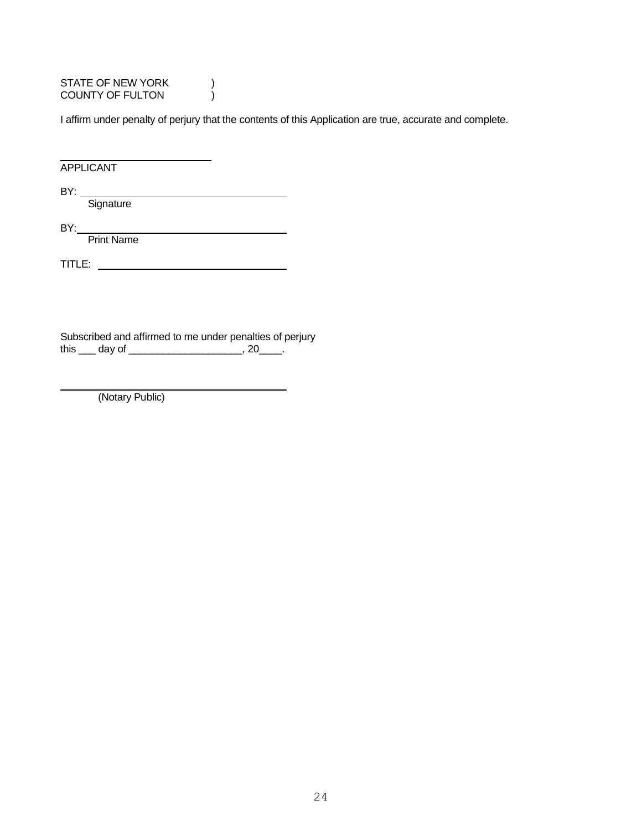STATE OF NEW YORK  $)$ COUNTY OF FULTON (

I affirm under penalty of perjury that the contents of this Application are true, accurate and complete.

APPLICANT

BY:

Signature

BY:

Print Name

TITLE:

Subscribed and affirmed to me under penalties of perjury this \_\_\_ day of \_\_\_\_\_\_\_\_\_\_\_\_\_\_\_\_\_\_\_, 20\_\_\_\_.

(Notary Public)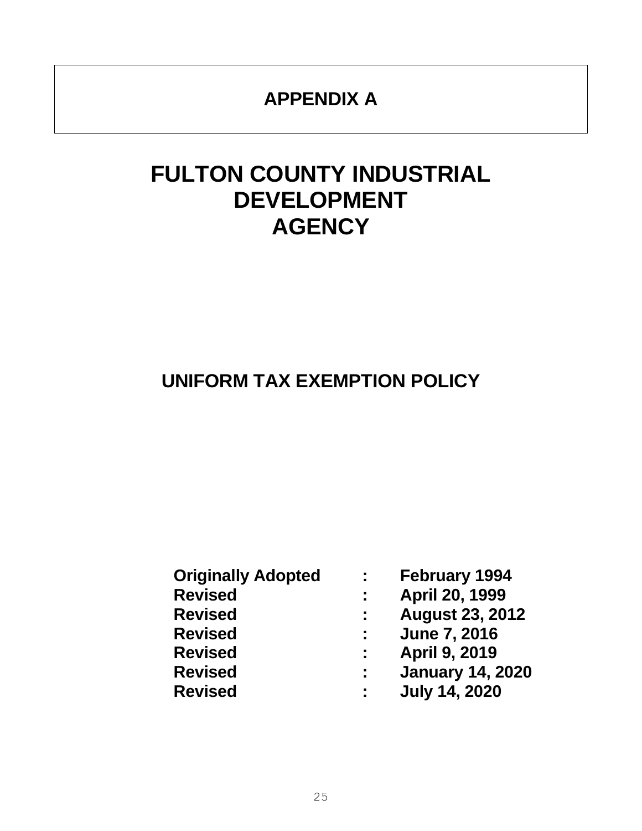## **APPENDIX A**

## **FULTON COUNTY INDUSTRIAL DEVELOPMENT AGENCY**

## **UNIFORM TAX EXEMPTION POLICY**

| <b>Originally Adopted</b> | ÷.             | <b>February 1994</b>    |
|---------------------------|----------------|-------------------------|
| <b>Revised</b>            | ÷.             | April 20, 1999          |
| <b>Revised</b>            | $\sim 10^{-1}$ | <b>August 23, 2012</b>  |
| <b>Revised</b>            | ÷.             | <b>June 7, 2016</b>     |
| <b>Revised</b>            | ÷.             | <b>April 9, 2019</b>    |
| <b>Revised</b>            | ÷.             | <b>January 14, 2020</b> |
| <b>Revised</b>            | ÷.             | <b>July 14, 2020</b>    |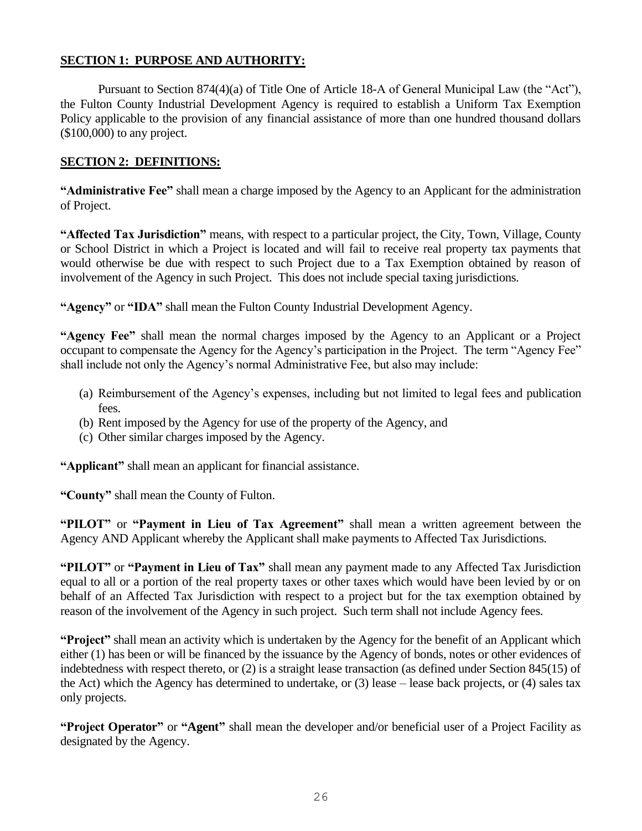#### **SECTION 1: PURPOSE AND AUTHORITY:**

Pursuant to Section 874(4)(a) of Title One of Article 18-A of General Municipal Law (the "Act"), the Fulton County Industrial Development Agency is required to establish a Uniform Tax Exemption Policy applicable to the provision of any financial assistance of more than one hundred thousand dollars (\$100,000) to any project.

#### **SECTION 2: DEFINITIONS:**

**"Administrative Fee"** shall mean a charge imposed by the Agency to an Applicant for the administration of Project.

**"Affected Tax Jurisdiction"** means, with respect to a particular project, the City, Town, Village, County or School District in which a Project is located and will fail to receive real property tax payments that would otherwise be due with respect to such Project due to a Tax Exemption obtained by reason of involvement of the Agency in such Project. This does not include special taxing jurisdictions.

**"Agency"** or **"IDA"** shall mean the Fulton County Industrial Development Agency.

**"Agency Fee"** shall mean the normal charges imposed by the Agency to an Applicant or a Project occupant to compensate the Agency for the Agency's participation in the Project. The term "Agency Fee" shall include not only the Agency's normal Administrative Fee, but also may include:

- (a) Reimbursement of the Agency's expenses, including but not limited to legal fees and publication fees.
- (b) Rent imposed by the Agency for use of the property of the Agency, and
- (c) Other similar charges imposed by the Agency.

**"Applicant"** shall mean an applicant for financial assistance.

**"County"** shall mean the County of Fulton.

**"PILOT"** or **"Payment in Lieu of Tax Agreement"** shall mean a written agreement between the Agency AND Applicant whereby the Applicant shall make payments to Affected Tax Jurisdictions.

**"PILOT"** or **"Payment in Lieu of Tax"** shall mean any payment made to any Affected Tax Jurisdiction equal to all or a portion of the real property taxes or other taxes which would have been levied by or on behalf of an Affected Tax Jurisdiction with respect to a project but for the tax exemption obtained by reason of the involvement of the Agency in such project. Such term shall not include Agency fees.

**"Project"** shall mean an activity which is undertaken by the Agency for the benefit of an Applicant which either (1) has been or will be financed by the issuance by the Agency of bonds, notes or other evidences of indebtedness with respect thereto, or (2) is a straight lease transaction (as defined under Section 845(15) of the Act) which the Agency has determined to undertake, or (3) lease – lease back projects, or (4) sales tax only projects.

**"Project Operator"** or **"Agent"** shall mean the developer and/or beneficial user of a Project Facility as designated by the Agency.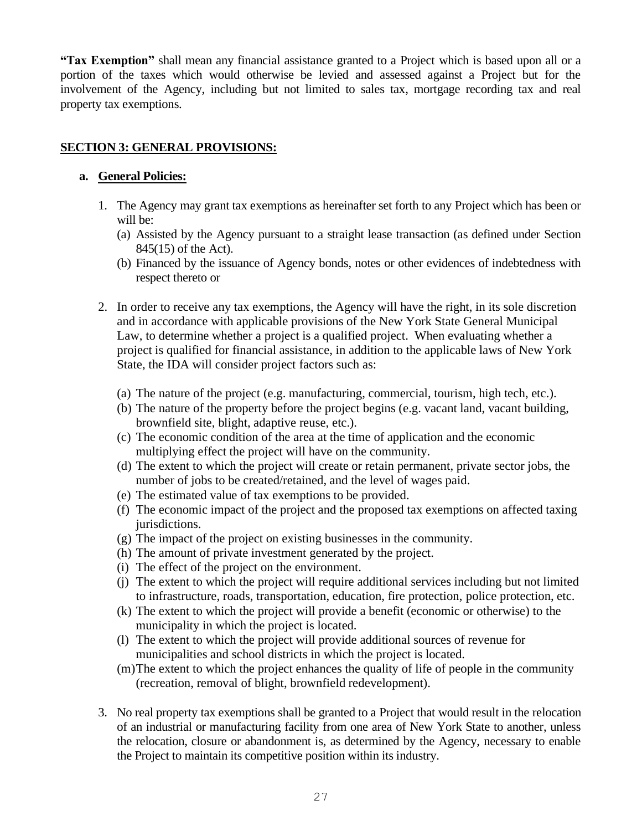**"Tax Exemption"** shall mean any financial assistance granted to a Project which is based upon all or a portion of the taxes which would otherwise be levied and assessed against a Project but for the involvement of the Agency, including but not limited to sales tax, mortgage recording tax and real property tax exemptions.

#### **SECTION 3: GENERAL PROVISIONS:**

#### **a. General Policies:**

- 1. The Agency may grant tax exemptions as hereinafter set forth to any Project which has been or will be:
	- (a) Assisted by the Agency pursuant to a straight lease transaction (as defined under Section 845(15) of the Act).
	- (b) Financed by the issuance of Agency bonds, notes or other evidences of indebtedness with respect thereto or
- 2. In order to receive any tax exemptions, the Agency will have the right, in its sole discretion and in accordance with applicable provisions of the New York State General Municipal Law, to determine whether a project is a qualified project. When evaluating whether a project is qualified for financial assistance, in addition to the applicable laws of New York State, the IDA will consider project factors such as:
	- (a) The nature of the project (e.g. manufacturing, commercial, tourism, high tech, etc.).
	- (b) The nature of the property before the project begins (e.g. vacant land, vacant building, brownfield site, blight, adaptive reuse, etc.).
	- (c) The economic condition of the area at the time of application and the economic multiplying effect the project will have on the community.
	- (d) The extent to which the project will create or retain permanent, private sector jobs, the number of jobs to be created/retained, and the level of wages paid.
	- (e) The estimated value of tax exemptions to be provided.
	- (f) The economic impact of the project and the proposed tax exemptions on affected taxing jurisdictions.
	- (g) The impact of the project on existing businesses in the community.
	- (h) The amount of private investment generated by the project.
	- (i) The effect of the project on the environment.
	- (j) The extent to which the project will require additional services including but not limited to infrastructure, roads, transportation, education, fire protection, police protection, etc.
	- (k) The extent to which the project will provide a benefit (economic or otherwise) to the municipality in which the project is located.
	- (l) The extent to which the project will provide additional sources of revenue for municipalities and school districts in which the project is located.
	- (m)The extent to which the project enhances the quality of life of people in the community (recreation, removal of blight, brownfield redevelopment).
- 3. No real property tax exemptions shall be granted to a Project that would result in the relocation of an industrial or manufacturing facility from one area of New York State to another, unless the relocation, closure or abandonment is, as determined by the Agency, necessary to enable the Project to maintain its competitive position within its industry.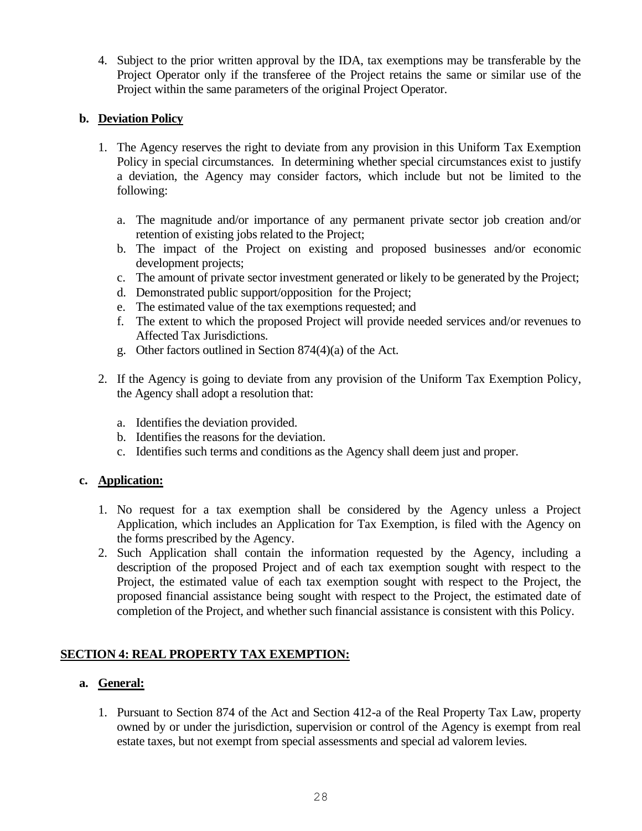4. Subject to the prior written approval by the IDA, tax exemptions may be transferable by the Project Operator only if the transferee of the Project retains the same or similar use of the Project within the same parameters of the original Project Operator.

#### **b. Deviation Policy**

- 1. The Agency reserves the right to deviate from any provision in this Uniform Tax Exemption Policy in special circumstances. In determining whether special circumstances exist to justify a deviation, the Agency may consider factors, which include but not be limited to the following:
	- a. The magnitude and/or importance of any permanent private sector job creation and/or retention of existing jobs related to the Project;
	- b. The impact of the Project on existing and proposed businesses and/or economic development projects;
	- c. The amount of private sector investment generated or likely to be generated by the Project;
	- d. Demonstrated public support/opposition for the Project;
	- e. The estimated value of the tax exemptions requested; and
	- f. The extent to which the proposed Project will provide needed services and/or revenues to Affected Tax Jurisdictions.
	- g. Other factors outlined in Section 874(4)(a) of the Act.
- 2. If the Agency is going to deviate from any provision of the Uniform Tax Exemption Policy, the Agency shall adopt a resolution that:
	- a. Identifies the deviation provided.
	- b. Identifies the reasons for the deviation.
	- c. Identifies such terms and conditions as the Agency shall deem just and proper.

### **c. Application:**

- 1. No request for a tax exemption shall be considered by the Agency unless a Project Application, which includes an Application for Tax Exemption, is filed with the Agency on the forms prescribed by the Agency.
- 2. Such Application shall contain the information requested by the Agency, including a description of the proposed Project and of each tax exemption sought with respect to the Project, the estimated value of each tax exemption sought with respect to the Project, the proposed financial assistance being sought with respect to the Project, the estimated date of completion of the Project, and whether such financial assistance is consistent with this Policy.

### **SECTION 4: REAL PROPERTY TAX EXEMPTION:**

### **a. General:**

1. Pursuant to Section 874 of the Act and Section 412-a of the Real Property Tax Law, property owned by or under the jurisdiction, supervision or control of the Agency is exempt from real estate taxes, but not exempt from special assessments and special ad valorem levies.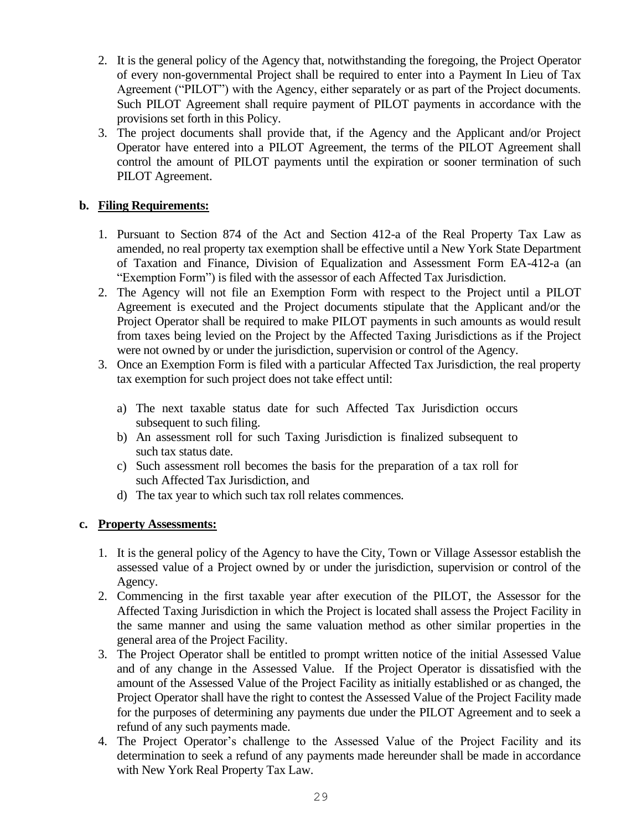- 2. It is the general policy of the Agency that, notwithstanding the foregoing, the Project Operator of every non-governmental Project shall be required to enter into a Payment In Lieu of Tax Agreement ("PILOT") with the Agency, either separately or as part of the Project documents. Such PILOT Agreement shall require payment of PILOT payments in accordance with the provisions set forth in this Policy.
- 3. The project documents shall provide that, if the Agency and the Applicant and/or Project Operator have entered into a PILOT Agreement, the terms of the PILOT Agreement shall control the amount of PILOT payments until the expiration or sooner termination of such PILOT Agreement.

#### **b. Filing Requirements:**

- 1. Pursuant to Section 874 of the Act and Section 412-a of the Real Property Tax Law as amended, no real property tax exemption shall be effective until a New York State Department of Taxation and Finance, Division of Equalization and Assessment Form EA-412-a (an "Exemption Form") is filed with the assessor of each Affected Tax Jurisdiction.
- 2. The Agency will not file an Exemption Form with respect to the Project until a PILOT Agreement is executed and the Project documents stipulate that the Applicant and/or the Project Operator shall be required to make PILOT payments in such amounts as would result from taxes being levied on the Project by the Affected Taxing Jurisdictions as if the Project were not owned by or under the jurisdiction, supervision or control of the Agency.
- 3. Once an Exemption Form is filed with a particular Affected Tax Jurisdiction, the real property tax exemption for such project does not take effect until:
	- a) The next taxable status date for such Affected Tax Jurisdiction occurs subsequent to such filing.
	- b) An assessment roll for such Taxing Jurisdiction is finalized subsequent to such tax status date.
	- c) Such assessment roll becomes the basis for the preparation of a tax roll for such Affected Tax Jurisdiction, and
	- d) The tax year to which such tax roll relates commences.

#### **c. Property Assessments:**

- 1. It is the general policy of the Agency to have the City, Town or Village Assessor establish the assessed value of a Project owned by or under the jurisdiction, supervision or control of the Agency.
- 2. Commencing in the first taxable year after execution of the PILOT, the Assessor for the Affected Taxing Jurisdiction in which the Project is located shall assess the Project Facility in the same manner and using the same valuation method as other similar properties in the general area of the Project Facility.
- 3. The Project Operator shall be entitled to prompt written notice of the initial Assessed Value and of any change in the Assessed Value. If the Project Operator is dissatisfied with the amount of the Assessed Value of the Project Facility as initially established or as changed, the Project Operator shall have the right to contest the Assessed Value of the Project Facility made for the purposes of determining any payments due under the PILOT Agreement and to seek a refund of any such payments made.
- 4. The Project Operator's challenge to the Assessed Value of the Project Facility and its determination to seek a refund of any payments made hereunder shall be made in accordance with New York Real Property Tax Law.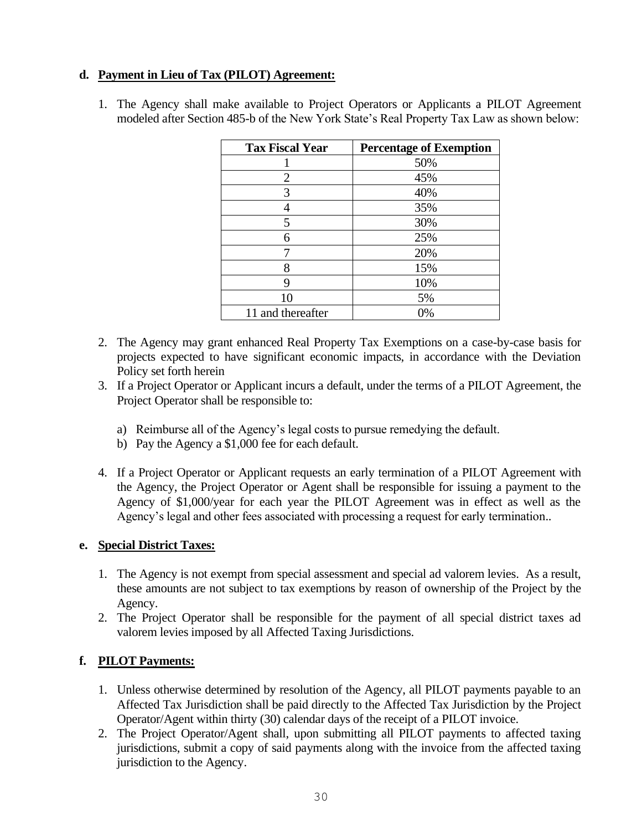#### **d. Payment in Lieu of Tax (PILOT) Agreement:**

1. The Agency shall make available to Project Operators or Applicants a PILOT Agreement modeled after Section 485-b of the New York State's Real Property Tax Law as shown below:

| <b>Tax Fiscal Year</b> | <b>Percentage of Exemption</b> |
|------------------------|--------------------------------|
|                        | 50%                            |
| 2                      | 45%                            |
| 3                      | 40%                            |
| 4                      | 35%                            |
| 5                      | 30%                            |
| 6                      | 25%                            |
|                        | 20%                            |
| 8                      | 15%                            |
| 9                      | 10%                            |
| 10                     | 5%                             |
| 11 and thereafter      | 0%                             |

- 2. The Agency may grant enhanced Real Property Tax Exemptions on a case-by-case basis for projects expected to have significant economic impacts, in accordance with the Deviation Policy set forth herein
- 3. If a Project Operator or Applicant incurs a default, under the terms of a PILOT Agreement, the Project Operator shall be responsible to:
	- a) Reimburse all of the Agency's legal costs to pursue remedying the default.
	- b) Pay the Agency a \$1,000 fee for each default.
- 4. If a Project Operator or Applicant requests an early termination of a PILOT Agreement with the Agency, the Project Operator or Agent shall be responsible for issuing a payment to the Agency of \$1,000/year for each year the PILOT Agreement was in effect as well as the Agency's legal and other fees associated with processing a request for early termination..

#### **e. Special District Taxes:**

- 1. The Agency is not exempt from special assessment and special ad valorem levies. As a result, these amounts are not subject to tax exemptions by reason of ownership of the Project by the Agency.
- 2. The Project Operator shall be responsible for the payment of all special district taxes ad valorem levies imposed by all Affected Taxing Jurisdictions.

#### **f. PILOT Payments:**

- 1. Unless otherwise determined by resolution of the Agency, all PILOT payments payable to an Affected Tax Jurisdiction shall be paid directly to the Affected Tax Jurisdiction by the Project Operator/Agent within thirty (30) calendar days of the receipt of a PILOT invoice.
- 2. The Project Operator/Agent shall, upon submitting all PILOT payments to affected taxing jurisdictions, submit a copy of said payments along with the invoice from the affected taxing jurisdiction to the Agency.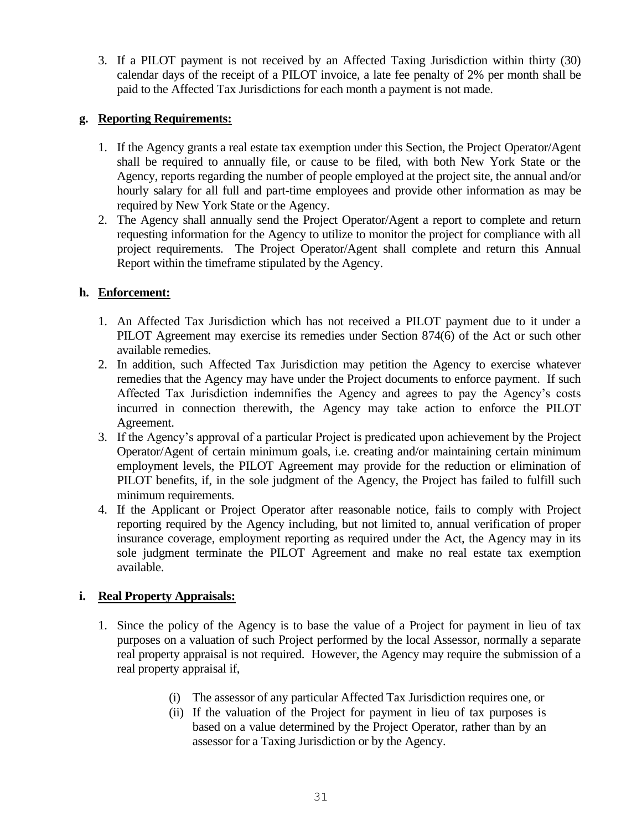3. If a PILOT payment is not received by an Affected Taxing Jurisdiction within thirty (30) calendar days of the receipt of a PILOT invoice, a late fee penalty of 2% per month shall be paid to the Affected Tax Jurisdictions for each month a payment is not made.

#### **g. Reporting Requirements:**

- 1. If the Agency grants a real estate tax exemption under this Section, the Project Operator/Agent shall be required to annually file, or cause to be filed, with both New York State or the Agency, reports regarding the number of people employed at the project site, the annual and/or hourly salary for all full and part-time employees and provide other information as may be required by New York State or the Agency.
- 2. The Agency shall annually send the Project Operator/Agent a report to complete and return requesting information for the Agency to utilize to monitor the project for compliance with all project requirements. The Project Operator/Agent shall complete and return this Annual Report within the timeframe stipulated by the Agency.

#### **h. Enforcement:**

- 1. An Affected Tax Jurisdiction which has not received a PILOT payment due to it under a PILOT Agreement may exercise its remedies under Section 874(6) of the Act or such other available remedies.
- 2. In addition, such Affected Tax Jurisdiction may petition the Agency to exercise whatever remedies that the Agency may have under the Project documents to enforce payment. If such Affected Tax Jurisdiction indemnifies the Agency and agrees to pay the Agency's costs incurred in connection therewith, the Agency may take action to enforce the PILOT Agreement.
- 3. If the Agency's approval of a particular Project is predicated upon achievement by the Project Operator/Agent of certain minimum goals, i.e. creating and/or maintaining certain minimum employment levels, the PILOT Agreement may provide for the reduction or elimination of PILOT benefits, if, in the sole judgment of the Agency, the Project has failed to fulfill such minimum requirements.
- 4. If the Applicant or Project Operator after reasonable notice, fails to comply with Project reporting required by the Agency including, but not limited to, annual verification of proper insurance coverage, employment reporting as required under the Act, the Agency may in its sole judgment terminate the PILOT Agreement and make no real estate tax exemption available.

### **i. Real Property Appraisals:**

- 1. Since the policy of the Agency is to base the value of a Project for payment in lieu of tax purposes on a valuation of such Project performed by the local Assessor, normally a separate real property appraisal is not required. However, the Agency may require the submission of a real property appraisal if,
	- (i) The assessor of any particular Affected Tax Jurisdiction requires one, or
	- (ii) If the valuation of the Project for payment in lieu of tax purposes is based on a value determined by the Project Operator, rather than by an assessor for a Taxing Jurisdiction or by the Agency.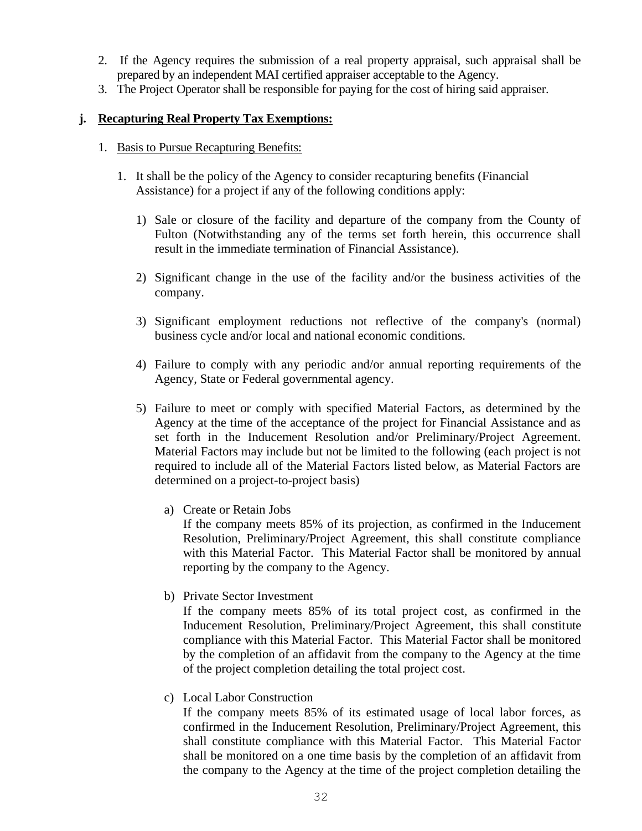- 2. If the Agency requires the submission of a real property appraisal, such appraisal shall be prepared by an independent MAI certified appraiser acceptable to the Agency.
- 3. The Project Operator shall be responsible for paying for the cost of hiring said appraiser.

#### **j. Recapturing Real Property Tax Exemptions:**

#### 1. Basis to Pursue Recapturing Benefits:

- 1. It shall be the policy of the Agency to consider recapturing benefits (Financial Assistance) for a project if any of the following conditions apply:
	- 1) Sale or closure of the facility and departure of the company from the County of Fulton (Notwithstanding any of the terms set forth herein, this occurrence shall result in the immediate termination of Financial Assistance).
	- 2) Significant change in the use of the facility and/or the business activities of the company.
	- 3) Significant employment reductions not reflective of the company's (normal) business cycle and/or local and national economic conditions.
	- 4) Failure to comply with any periodic and/or annual reporting requirements of the Agency, State or Federal governmental agency.
	- 5) Failure to meet or comply with specified Material Factors, as determined by the Agency at the time of the acceptance of the project for Financial Assistance and as set forth in the Inducement Resolution and/or Preliminary/Project Agreement. Material Factors may include but not be limited to the following (each project is not required to include all of the Material Factors listed below, as Material Factors are determined on a project-to-project basis)
		- a) Create or Retain Jobs

If the company meets 85% of its projection, as confirmed in the Inducement Resolution, Preliminary/Project Agreement, this shall constitute compliance with this Material Factor. This Material Factor shall be monitored by annual reporting by the company to the Agency.

b) Private Sector Investment

If the company meets 85% of its total project cost, as confirmed in the Inducement Resolution, Preliminary/Project Agreement, this shall constitute compliance with this Material Factor. This Material Factor shall be monitored by the completion of an affidavit from the company to the Agency at the time of the project completion detailing the total project cost.

c) Local Labor Construction

If the company meets 85% of its estimated usage of local labor forces, as confirmed in the Inducement Resolution, Preliminary/Project Agreement, this shall constitute compliance with this Material Factor. This Material Factor shall be monitored on a one time basis by the completion of an affidavit from the company to the Agency at the time of the project completion detailing the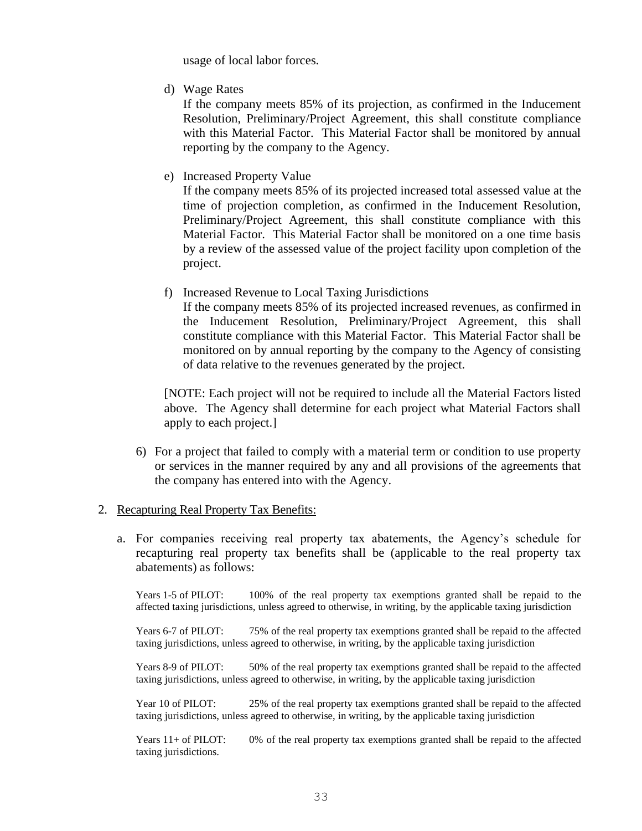usage of local labor forces.

d) Wage Rates

If the company meets 85% of its projection, as confirmed in the Inducement Resolution, Preliminary/Project Agreement, this shall constitute compliance with this Material Factor. This Material Factor shall be monitored by annual reporting by the company to the Agency.

e) Increased Property Value

If the company meets 85% of its projected increased total assessed value at the time of projection completion, as confirmed in the Inducement Resolution, Preliminary/Project Agreement, this shall constitute compliance with this Material Factor. This Material Factor shall be monitored on a one time basis by a review of the assessed value of the project facility upon completion of the project.

f) Increased Revenue to Local Taxing Jurisdictions

If the company meets 85% of its projected increased revenues, as confirmed in the Inducement Resolution, Preliminary/Project Agreement, this shall constitute compliance with this Material Factor. This Material Factor shall be monitored on by annual reporting by the company to the Agency of consisting of data relative to the revenues generated by the project.

[NOTE: Each project will not be required to include all the Material Factors listed above. The Agency shall determine for each project what Material Factors shall apply to each project.]

6) For a project that failed to comply with a material term or condition to use property or services in the manner required by any and all provisions of the agreements that the company has entered into with the Agency.

#### 2. Recapturing Real Property Tax Benefits:

a. For companies receiving real property tax abatements, the Agency's schedule for recapturing real property tax benefits shall be (applicable to the real property tax abatements) as follows:

Years 1-5 of PILOT: 100% of the real property tax exemptions granted shall be repaid to the affected taxing jurisdictions, unless agreed to otherwise, in writing, by the applicable taxing jurisdiction

Years 6-7 of PILOT: 75% of the real property tax exemptions granted shall be repaid to the affected taxing jurisdictions, unless agreed to otherwise, in writing, by the applicable taxing jurisdiction

Years 8-9 of PILOT: 50% of the real property tax exemptions granted shall be repaid to the affected taxing jurisdictions, unless agreed to otherwise, in writing, by the applicable taxing jurisdiction

Year 10 of PILOT: 25% of the real property tax exemptions granted shall be repaid to the affected taxing jurisdictions, unless agreed to otherwise, in writing, by the applicable taxing jurisdiction

Years 11+ of PILOT: 0% of the real property tax exemptions granted shall be repaid to the affected taxing jurisdictions.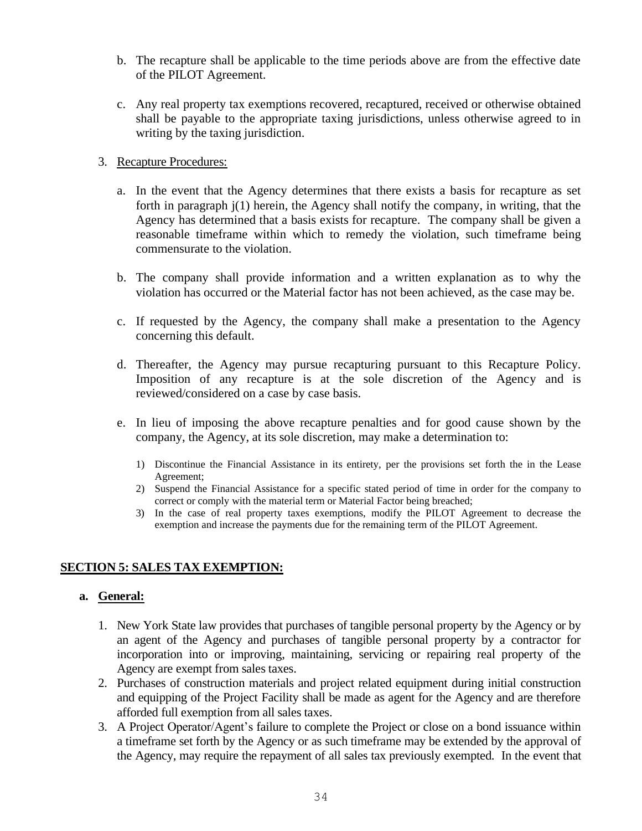- b. The recapture shall be applicable to the time periods above are from the effective date of the PILOT Agreement.
- c. Any real property tax exemptions recovered, recaptured, received or otherwise obtained shall be payable to the appropriate taxing jurisdictions, unless otherwise agreed to in writing by the taxing jurisdiction.

#### 3. Recapture Procedures:

- a. In the event that the Agency determines that there exists a basis for recapture as set forth in paragraph j(1) herein, the Agency shall notify the company, in writing, that the Agency has determined that a basis exists for recapture. The company shall be given a reasonable timeframe within which to remedy the violation, such timeframe being commensurate to the violation.
- b. The company shall provide information and a written explanation as to why the violation has occurred or the Material factor has not been achieved, as the case may be.
- c. If requested by the Agency, the company shall make a presentation to the Agency concerning this default.
- d. Thereafter, the Agency may pursue recapturing pursuant to this Recapture Policy. Imposition of any recapture is at the sole discretion of the Agency and is reviewed/considered on a case by case basis.
- e. In lieu of imposing the above recapture penalties and for good cause shown by the company, the Agency, at its sole discretion, may make a determination to:
	- 1) Discontinue the Financial Assistance in its entirety, per the provisions set forth the in the Lease Agreement;
	- 2) Suspend the Financial Assistance for a specific stated period of time in order for the company to correct or comply with the material term or Material Factor being breached;
	- 3) In the case of real property taxes exemptions, modify the PILOT Agreement to decrease the exemption and increase the payments due for the remaining term of the PILOT Agreement.

#### **SECTION 5: SALES TAX EXEMPTION:**

#### **a. General:**

- 1. New York State law provides that purchases of tangible personal property by the Agency or by an agent of the Agency and purchases of tangible personal property by a contractor for incorporation into or improving, maintaining, servicing or repairing real property of the Agency are exempt from sales taxes.
- 2. Purchases of construction materials and project related equipment during initial construction and equipping of the Project Facility shall be made as agent for the Agency and are therefore afforded full exemption from all sales taxes.
- 3. A Project Operator/Agent's failure to complete the Project or close on a bond issuance within a timeframe set forth by the Agency or as such timeframe may be extended by the approval of the Agency, may require the repayment of all sales tax previously exempted. In the event that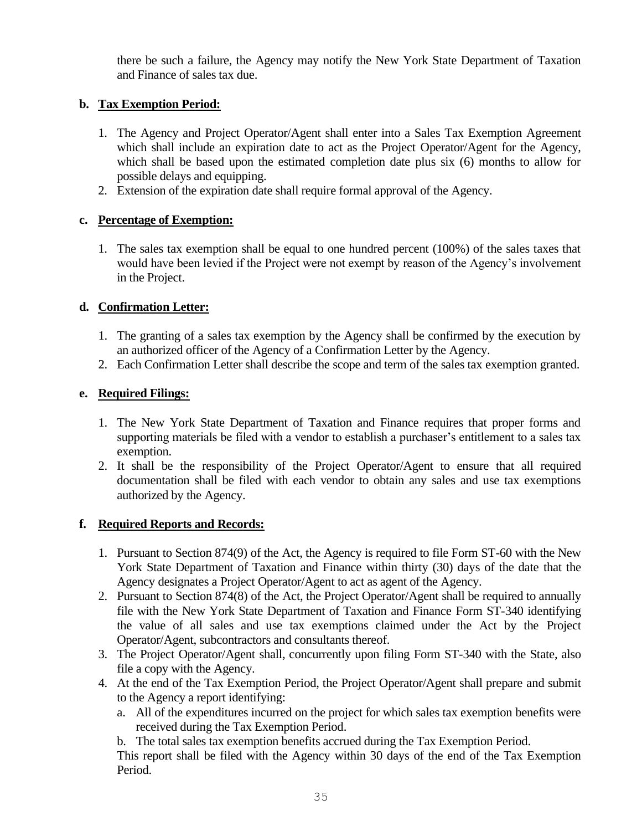there be such a failure, the Agency may notify the New York State Department of Taxation and Finance of sales tax due.

#### **b. Tax Exemption Period:**

- 1. The Agency and Project Operator/Agent shall enter into a Sales Tax Exemption Agreement which shall include an expiration date to act as the Project Operator/Agent for the Agency, which shall be based upon the estimated completion date plus six (6) months to allow for possible delays and equipping.
- 2. Extension of the expiration date shall require formal approval of the Agency.

#### **c. Percentage of Exemption:**

1. The sales tax exemption shall be equal to one hundred percent (100%) of the sales taxes that would have been levied if the Project were not exempt by reason of the Agency's involvement in the Project.

### **d. Confirmation Letter:**

- 1. The granting of a sales tax exemption by the Agency shall be confirmed by the execution by an authorized officer of the Agency of a Confirmation Letter by the Agency.
- 2. Each Confirmation Letter shall describe the scope and term of the sales tax exemption granted.

#### **e. Required Filings:**

- 1. The New York State Department of Taxation and Finance requires that proper forms and supporting materials be filed with a vendor to establish a purchaser's entitlement to a sales tax exemption.
- 2. It shall be the responsibility of the Project Operator/Agent to ensure that all required documentation shall be filed with each vendor to obtain any sales and use tax exemptions authorized by the Agency.

#### **f. Required Reports and Records:**

- 1. Pursuant to Section 874(9) of the Act, the Agency is required to file Form ST-60 with the New York State Department of Taxation and Finance within thirty (30) days of the date that the Agency designates a Project Operator/Agent to act as agent of the Agency.
- 2. Pursuant to Section 874(8) of the Act, the Project Operator/Agent shall be required to annually file with the New York State Department of Taxation and Finance Form ST-340 identifying the value of all sales and use tax exemptions claimed under the Act by the Project Operator/Agent, subcontractors and consultants thereof.
- 3. The Project Operator/Agent shall, concurrently upon filing Form ST-340 with the State, also file a copy with the Agency.
- 4. At the end of the Tax Exemption Period, the Project Operator/Agent shall prepare and submit to the Agency a report identifying:
	- a. All of the expenditures incurred on the project for which sales tax exemption benefits were received during the Tax Exemption Period.
	- b. The total sales tax exemption benefits accrued during the Tax Exemption Period.

This report shall be filed with the Agency within 30 days of the end of the Tax Exemption Period.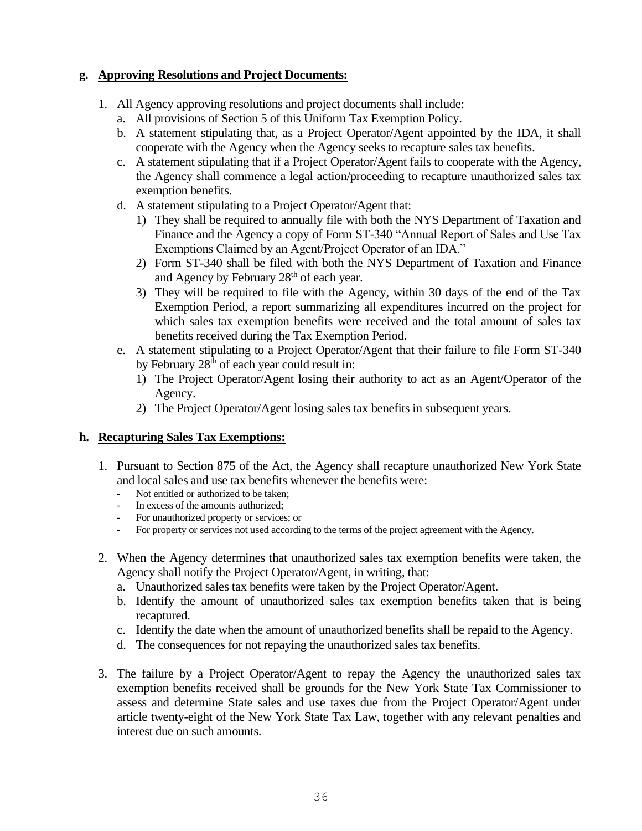#### **g. Approving Resolutions and Project Documents:**

- 1. All Agency approving resolutions and project documents shall include:
	- a. All provisions of Section 5 of this Uniform Tax Exemption Policy.
	- b. A statement stipulating that, as a Project Operator/Agent appointed by the IDA, it shall cooperate with the Agency when the Agency seeks to recapture sales tax benefits.
	- c. A statement stipulating that if a Project Operator/Agent fails to cooperate with the Agency, the Agency shall commence a legal action/proceeding to recapture unauthorized sales tax exemption benefits.
	- d. A statement stipulating to a Project Operator/Agent that:
		- 1) They shall be required to annually file with both the NYS Department of Taxation and Finance and the Agency a copy of Form ST-340 "Annual Report of Sales and Use Tax Exemptions Claimed by an Agent/Project Operator of an IDA."
		- 2) Form ST-340 shall be filed with both the NYS Department of Taxation and Finance and Agency by February 28<sup>th</sup> of each year.
		- 3) They will be required to file with the Agency, within 30 days of the end of the Tax Exemption Period, a report summarizing all expenditures incurred on the project for which sales tax exemption benefits were received and the total amount of sales tax benefits received during the Tax Exemption Period.
	- e. A statement stipulating to a Project Operator/Agent that their failure to file Form ST-340 by February  $28<sup>th</sup>$  of each year could result in:
		- 1) The Project Operator/Agent losing their authority to act as an Agent/Operator of the Agency.
		- 2) The Project Operator/Agent losing sales tax benefits in subsequent years.

#### **h. Recapturing Sales Tax Exemptions:**

- 1. Pursuant to Section 875 of the Act, the Agency shall recapture unauthorized New York State and local sales and use tax benefits whenever the benefits were:
	- Not entitled or authorized to be taken:
	- In excess of the amounts authorized;
	- For unauthorized property or services; or
	- For property or services not used according to the terms of the project agreement with the Agency.
- 2. When the Agency determines that unauthorized sales tax exemption benefits were taken, the Agency shall notify the Project Operator/Agent, in writing, that:
	- a. Unauthorized sales tax benefits were taken by the Project Operator/Agent.
	- b. Identify the amount of unauthorized sales tax exemption benefits taken that is being recaptured.
	- c. Identify the date when the amount of unauthorized benefits shall be repaid to the Agency.
	- d. The consequences for not repaying the unauthorized sales tax benefits.
- 3. The failure by a Project Operator/Agent to repay the Agency the unauthorized sales tax exemption benefits received shall be grounds for the New York State Tax Commissioner to assess and determine State sales and use taxes due from the Project Operator/Agent under article twenty-eight of the New York State Tax Law, together with any relevant penalties and interest due on such amounts.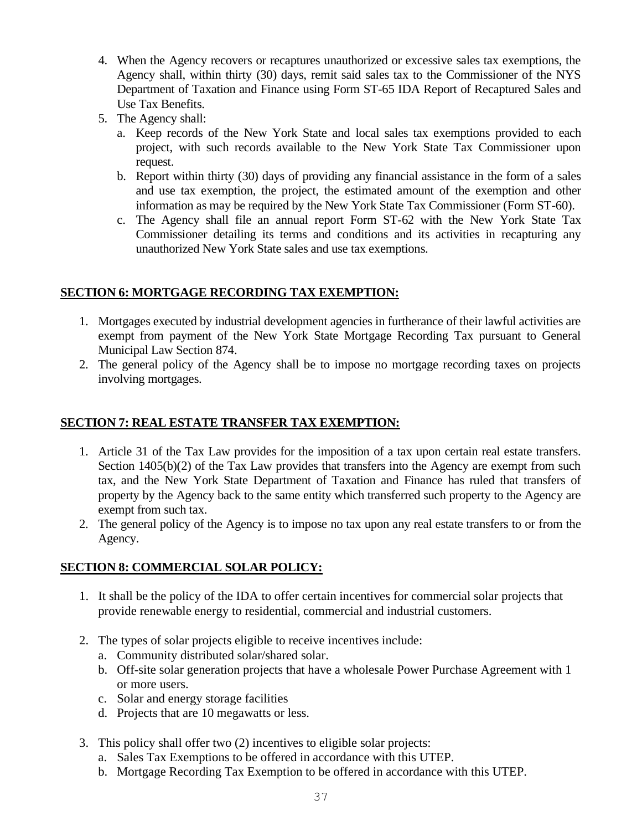- 4. When the Agency recovers or recaptures unauthorized or excessive sales tax exemptions, the Agency shall, within thirty (30) days, remit said sales tax to the Commissioner of the NYS Department of Taxation and Finance using Form ST-65 IDA Report of Recaptured Sales and Use Tax Benefits.
- 5. The Agency shall:
	- a. Keep records of the New York State and local sales tax exemptions provided to each project, with such records available to the New York State Tax Commissioner upon request.
	- b. Report within thirty (30) days of providing any financial assistance in the form of a sales and use tax exemption, the project, the estimated amount of the exemption and other information as may be required by the New York State Tax Commissioner (Form ST-60).
	- c. The Agency shall file an annual report Form ST-62 with the New York State Tax Commissioner detailing its terms and conditions and its activities in recapturing any unauthorized New York State sales and use tax exemptions.

#### **SECTION 6: MORTGAGE RECORDING TAX EXEMPTION:**

- 1. Mortgages executed by industrial development agencies in furtherance of their lawful activities are exempt from payment of the New York State Mortgage Recording Tax pursuant to General Municipal Law Section 874.
- 2. The general policy of the Agency shall be to impose no mortgage recording taxes on projects involving mortgages.

#### **SECTION 7: REAL ESTATE TRANSFER TAX EXEMPTION:**

- 1. Article 31 of the Tax Law provides for the imposition of a tax upon certain real estate transfers. Section 1405(b)(2) of the Tax Law provides that transfers into the Agency are exempt from such tax, and the New York State Department of Taxation and Finance has ruled that transfers of property by the Agency back to the same entity which transferred such property to the Agency are exempt from such tax.
- 2. The general policy of the Agency is to impose no tax upon any real estate transfers to or from the Agency.

### **SECTION 8: COMMERCIAL SOLAR POLICY:**

- 1. It shall be the policy of the IDA to offer certain incentives for commercial solar projects that provide renewable energy to residential, commercial and industrial customers.
- 2. The types of solar projects eligible to receive incentives include:
	- a. Community distributed solar/shared solar.
	- b. Off-site solar generation projects that have a wholesale Power Purchase Agreement with 1 or more users.
	- c. Solar and energy storage facilities
	- d. Projects that are 10 megawatts or less.
- 3. This policy shall offer two (2) incentives to eligible solar projects:
	- a. Sales Tax Exemptions to be offered in accordance with this UTEP.
	- b. Mortgage Recording Tax Exemption to be offered in accordance with this UTEP.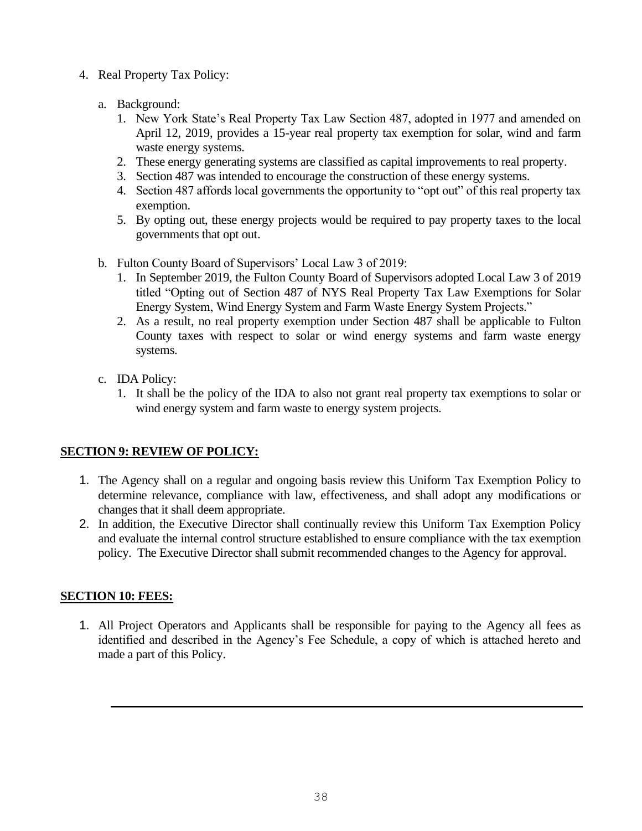- 4. Real Property Tax Policy:
	- a. Background:
		- 1. New York State's Real Property Tax Law Section 487, adopted in 1977 and amended on April 12, 2019, provides a 15-year real property tax exemption for solar, wind and farm waste energy systems.
		- 2. These energy generating systems are classified as capital improvements to real property.
		- 3. Section 487 was intended to encourage the construction of these energy systems.
		- 4. Section 487 affords local governments the opportunity to "opt out" of this real property tax exemption.
		- 5. By opting out, these energy projects would be required to pay property taxes to the local governments that opt out.
	- b. Fulton County Board of Supervisors' Local Law 3 of 2019:
		- 1. In September 2019, the Fulton County Board of Supervisors adopted Local Law 3 of 2019 titled "Opting out of Section 487 of NYS Real Property Tax Law Exemptions for Solar Energy System, Wind Energy System and Farm Waste Energy System Projects."
		- 2. As a result, no real property exemption under Section 487 shall be applicable to Fulton County taxes with respect to solar or wind energy systems and farm waste energy systems.
	- c. IDA Policy:
		- 1. It shall be the policy of the IDA to also not grant real property tax exemptions to solar or wind energy system and farm waste to energy system projects.

### **SECTION 9: REVIEW OF POLICY:**

- 1. The Agency shall on a regular and ongoing basis review this Uniform Tax Exemption Policy to determine relevance, compliance with law, effectiveness, and shall adopt any modifications or changes that it shall deem appropriate.
- 2. In addition, the Executive Director shall continually review this Uniform Tax Exemption Policy and evaluate the internal control structure established to ensure compliance with the tax exemption policy. The Executive Director shall submit recommended changes to the Agency for approval.

### **SECTION 10: FEES:**

1. All Project Operators and Applicants shall be responsible for paying to the Agency all fees as identified and described in the Agency's Fee Schedule, a copy of which is attached hereto and made a part of this Policy.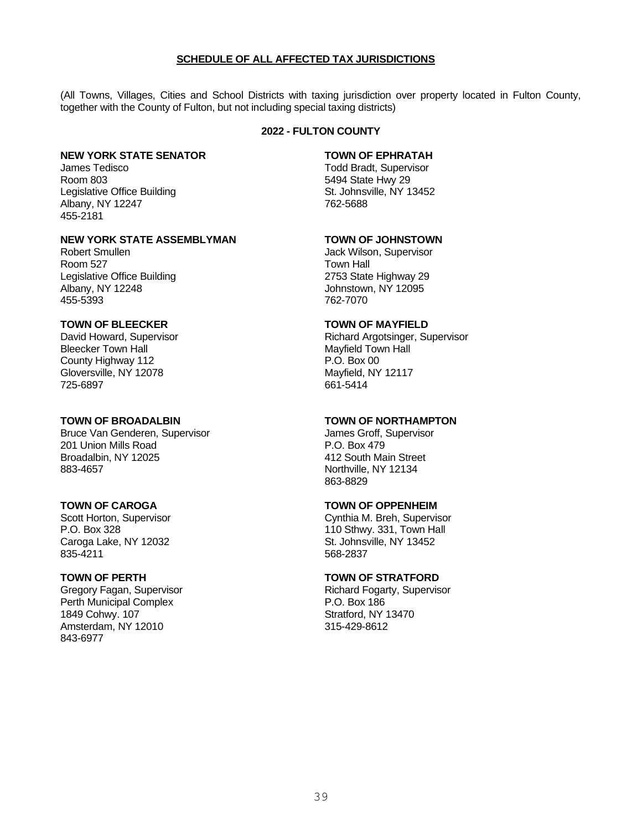#### **SCHEDULE OF ALL AFFECTED TAX JURISDICTIONS**

(All Towns, Villages, Cities and School Districts with taxing jurisdiction over property located in Fulton County, together with the County of Fulton, but not including special taxing districts)

#### **2022 - FULTON COUNTY**

#### **NEW YORK STATE SENATOR TOWN OF EPHRATAH**

James Tedisco **The Community Community** Todd Bradt, Supervisor Room 803 5494 State Hwy 29 Legislative Office Building **St. Johnsville, NY 13452** Albany, NY 12247 762-5688 455-2181

#### **NEW YORK STATE ASSEMBLYMAN TOWN OF JOHNSTOWN**

Robert Smullen **And Tack Wilson, Supervisor** Jack Wilson, Supervisor Room 527 Town Hall Legislative Office Building 2753 State Highway 29 Albany, NY 12248  $\frac{1}{2}$  Johnstown, NY 12095 455-5393

#### **TOWN OF BLEECKER TOWN OF MAYFIELD**

Bleecker Town Hall Mayfield Town Hall County Highway 112 **P.O. Box 00** Gloversville, NY 12078 Mayfield, NY 12117 725-6897 661-5414

Bruce Van Genderen, Supervisor **Gratia** Supervisor James Groff, Supervisor 201 Union Mills Road P.O. Box 479 Broadalbin, NY 12025 412 South Main Street 883-4657 Northville, NY 12134

Caroga Lake, NY 12032 (2008) St. Johnsville, NY 13452<br>835-4211 568-2837

Perth Municipal Complex 1849 Cohwy. 107 Stratford, NY 13470 Amsterdam, NY 12010 315-429-8612 843-6977

David Howard, Supervisor **Richard Argotsinger, Supervisor** Richard Argotsinger, Supervisor

#### **TOWN OF BROADALBIN TOWN OF NORTHAMPTON**

863-8829

#### **TOWN OF CAROGA TOWN OF OPPENHEIM**

Scott Horton, Supervisor **Cynthia M. Breh, Supervisor** Cynthia M. Breh, Supervisor<br>P.O. Box 328 110 Sthwy. 331, Town Hall 568-2837

#### **TOWN OF PERTH TOWN OF STRATFORD**

Gregory Fagan, Supervisor **Richard Fogarty, Supervisor** Richard Fogarty, Supervisor<br>
P.O. Box 186